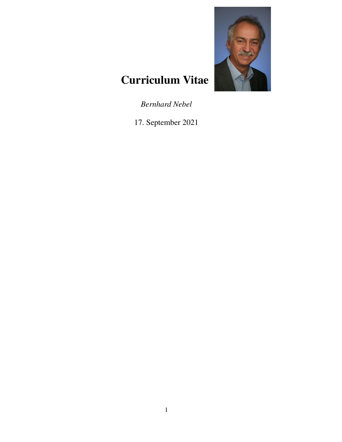

# Curriculum Vitae

*Bernhard Nebel*

17. September 2021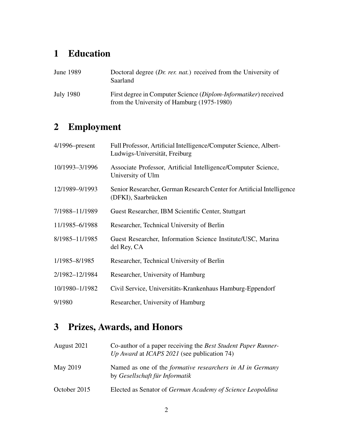# 1 Education

| <b>June 1989</b> | Doctoral degree $(Dr. \text{rer.} nat.)$ received from the University of<br>Saarland                          |
|------------------|---------------------------------------------------------------------------------------------------------------|
| July 1980        | First degree in Computer Science (Diplom-Informatiker) received<br>from the University of Hamburg (1975-1980) |

# 2 Employment

| $4/1996$ -present | Full Professor, Artificial Intelligence/Computer Science, Albert-<br>Ludwigs-Universität, Freiburg |
|-------------------|----------------------------------------------------------------------------------------------------|
| 10/1993-3/1996    | Associate Professor, Artificial Intelligence/Computer Science,<br>University of Ulm                |
| 12/1989-9/1993    | Senior Researcher, German Research Center for Artificial Intelligence<br>(DFKI), Saarbrücken       |
| 7/1988-11/1989    | Guest Researcher, IBM Scientific Center, Stuttgart                                                 |
| 11/1985-6/1988    | Researcher, Technical University of Berlin                                                         |
| 8/1985-11/1985    | Guest Researcher, Information Science Institute/USC, Marina<br>del Rey, CA                         |
| 1/1985-8/1985     | Researcher, Technical University of Berlin                                                         |
| 2/1982-12/1984    | Researcher, University of Hamburg                                                                  |
| 10/1980-1/1982    | Civil Service, Universitäts-Krankenhaus Hamburg-Eppendorf                                          |
| 9/1980            | Researcher, University of Hamburg                                                                  |

# 3 Prizes, Awards, and Honors

| August 2021  | Co-author of a paper receiving the Best Student Paper Runner-<br>Up Award at ICAPS 2021 (see publication 74) |
|--------------|--------------------------------------------------------------------------------------------------------------|
| May 2019     | Named as one of the <i>formative researchers in AI in Germany</i><br>by Gesellschaft für Informatik          |
| October 2015 | Elected as Senator of German Academy of Science Leopoldina                                                   |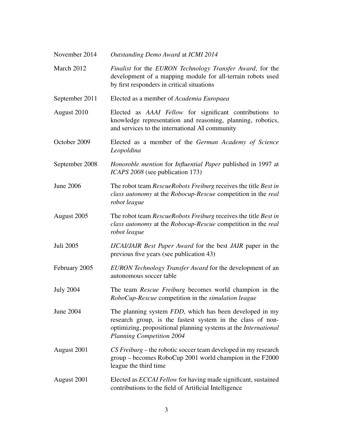| November 2014    | Outstanding Demo Award at ICMI 2014                                                                                                                                                                                   |
|------------------|-----------------------------------------------------------------------------------------------------------------------------------------------------------------------------------------------------------------------|
| March 2012       | Finalist for the EURON Technology Transfer Award, for the<br>development of a mapping module for all-terrain robots used<br>by first responders in critical situations                                                |
| September 2011   | Elected as a member of Academia Europaea                                                                                                                                                                              |
| August 2010      | Elected as AAAI Fellow for significant contributions to<br>knowledge representation and reasoning, planning, robotics,<br>and services to the international AI community                                              |
| October 2009     | Elected as a member of the German Academy of Science<br>Leopoldina                                                                                                                                                    |
| September 2008   | <i>Honoroble mention</i> for <i>Influential Paper</i> published in 1997 at<br><i>ICAPS</i> 2008 (see publication 173)                                                                                                 |
| <b>June 2006</b> | The robot team RescueRobots Freiburg receives the title Best in<br>class autonomy at the Robocup-Rescue competition in the real<br>robot league                                                                       |
| August 2005      | The robot team RescueRobots Freiburg receives the title Best in<br>class autonomy at the Robocup-Rescue competition in the real<br>robot league                                                                       |
| Juli 2005        | IJCAI/JAIR Best Paper Award for the best JAIR paper in the<br>previous five years (see publication 43)                                                                                                                |
| February 2005    | EURON Technology Transfer Award for the development of an<br>autonomous soccer table                                                                                                                                  |
| <b>July 2004</b> | The team <i>Rescue Freiburg</i> becomes world champion in the<br>RoboCup-Rescue competition in the simulation league                                                                                                  |
| June 2004        | The planning system FDD, which has been developed in my<br>research group, is the fastest system in the class of non-<br>optimizing, propositional planning systems at the International<br>Planning Competition 2004 |
| August 2001      | CS Freiburg – the robotic soccer team developed in my research<br>group – becomes RoboCup 2001 world champion in the F2000<br>league the third time                                                                   |
| August 2001      | Elected as ECCAI Fellow for having made significant, sustained<br>contributions to the field of Artificial Intelligence                                                                                               |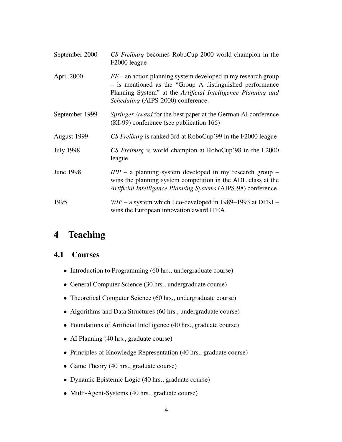| September 2000   | CS Freiburg becomes RoboCup 2000 world champion in the<br>F2000 league                                                                                                                                                             |
|------------------|------------------------------------------------------------------------------------------------------------------------------------------------------------------------------------------------------------------------------------|
| April 2000       | $FF$ – an action planning system developed in my research group<br>- is mentioned as the "Group A distinguished performance"<br>Planning System" at the Artificial Intelligence Planning and<br>Scheduling (AIPS-2000) conference. |
| September 1999   | Springer Award for the best paper at the German AI conference<br>(KI-99) conference (see publication 166)                                                                                                                          |
| August 1999      | CS Freiburg is ranked 3rd at RoboCup'99 in the F2000 league                                                                                                                                                                        |
| <b>July 1998</b> | CS Freiburg is world champion at RoboCup'98 in the F2000<br>league                                                                                                                                                                 |
| <b>June 1998</b> | $IPP - a$ planning system developed in my research group $-$<br>wins the planning system competition in the ADL class at the<br>Artificial Intelligence Planning Systems (AIPS-98) conference                                      |
| 1995             | $WIP - a$ system which I co-developed in 1989–1993 at DFKI –<br>wins the European innovation award ITEA                                                                                                                            |

# 4 Teaching

## 4.1 Courses

- Introduction to Programming (60 hrs., undergraduate course)
- General Computer Science (30 hrs., undergraduate course)
- Theoretical Computer Science (60 hrs., undergraduate course)
- Algorithms and Data Structures (60 hrs., undergraduate course)
- Foundations of Artificial Intelligence (40 hrs., graduate course)
- AI Planning (40 hrs., graduate course)
- Principles of Knowledge Representation (40 hrs., graduate course)
- Game Theory (40 hrs., graduate course)
- Dynamic Epistemic Logic (40 hrs., graduate course)
- Multi-Agent-Systems (40 hrs., graduate course)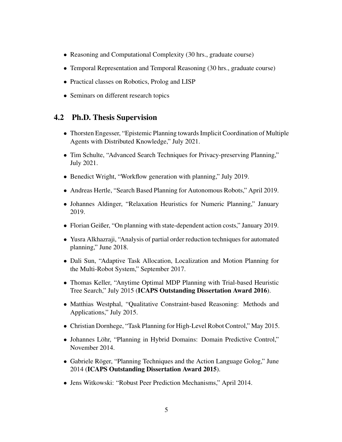- Reasoning and Computational Complexity (30 hrs., graduate course)
- Temporal Representation and Temporal Reasoning (30 hrs., graduate course)
- Practical classes on Robotics, Prolog and LISP
- Seminars on different research topics

### 4.2 Ph.D. Thesis Supervision

- Thorsten Engesser, "Epistemic Planning towards Implicit Coordination of Multiple Agents with Distributed Knowledge," July 2021.
- Tim Schulte, "Advanced Search Techniques for Privacy-preserving Planning," July 2021.
- Benedict Wright, "Workflow generation with planning," July 2019.
- Andreas Hertle, "Search Based Planning for Autonomous Robots," April 2019.
- Johannes Aldinger, "Relaxation Heuristics for Numeric Planning," January 2019.
- Florian Geißer, "On planning with state-dependent action costs," January 2019.
- Yusra Alkhazraji, "Analysis of partial order reduction techniques for automated planning," June 2018.
- Dali Sun, "Adaptive Task Allocation, Localization and Motion Planning for the Multi-Robot System," September 2017.
- Thomas Keller, "Anytime Optimal MDP Planning with Trial-based Heuristic Tree Search," July 2015 (ICAPS Outstanding Dissertation Award 2016).
- Matthias Westphal, "Qualitative Constraint-based Reasoning: Methods and Applications," July 2015.
- Christian Dornhege, "Task Planning for High-Level Robot Control," May 2015.
- Johannes Löhr, "Planning in Hybrid Domains: Domain Predictive Control," November 2014.
- Gabriele Röger, "Planning Techniques and the Action Language Golog," June 2014 (ICAPS Outstanding Dissertation Award 2015).
- Jens Witkowski: "Robust Peer Prediction Mechanisms," April 2014.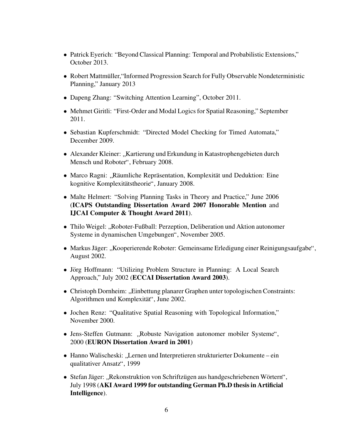- Patrick Eyerich: "Beyond Classical Planning: Temporal and Probabilistic Extensions," October 2013.
- Robert Mattmüller, "Informed Progression Search for Fully Observable Nondeterministic Planning," January 2013
- Dapeng Zhang: "Switching Attention Learning", October 2011.
- Mehmet Giritli: "First-Order and Modal Logics for Spatial Reasoning," September 2011.
- Sebastian Kupferschmidt: "Directed Model Checking for Timed Automata," December 2009.
- Alexander Kleiner: "Kartierung und Erkundung in Katastrophengebieten durch<br>Manach und Beheter": Fehrmann 2008 Mensch und Roboter", February 2008.
- Marco Ragni: "Räumliche Repräsentation, Komplexität und Deduktion: Eine kognitive Komplexitätetheorie". Ignuoru 2009 kognitive Komplexitätstheorie", January 2008.
- Malte Helmert: "Solving Planning Tasks in Theory and Practice," June 2006 (ICAPS Outstanding Dissertation Award 2007 Honorable Mention and IJCAI Computer & Thought Award 2011).
- Thilo Weigel: "Roboter-Fußball: Perzeption, Deliberation und Aktion autonomer<br>Systeme in dynamischen Umgehungen", November 2005 Systeme in dynamischen Umgebungen", November 2005.
- Markus Jäger: "Kooperierende Roboter: Gemeinsame Erledigung einer Reinigungsaufgabe", August 2002.
- Jörg Hoffmann: "Utilizing Problem Structure in Planning: A Local Search Approach," July 2002 (ECCAI Dissertation Award 2003).
- Christoph Dornheim: "Einbettung planarer Graphen unter topologischen Constraints:<br>Algerithman und Kamplanitätt. Imm 2002 Algorithmen und Komplexität", June 2002.
- Jochen Renz: "Qualitative Spatial Reasoning with Topological Information," November 2000.
- Jens-Steffen Gutmann: "Robuste Navigation autonomer mobiler Systeme", 2000 (EURON Dissertation Award in 2001)
- Hanno Walischeski: "Lernen und Interpretieren strukturierter Dokumente ein<br>
explitatives Anastr<sup>ii</sup>, 1000 qualitativer Ansatz", 1999
- Stefan Jäger: "Rekonstruktion von Schriftzügen aus handgeschriebenen Wörtern", " July 1998 (AKI Award 1999 for outstanding German Ph.D thesis in Artificial Intelligence).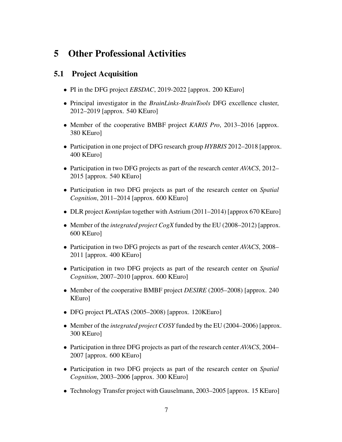# 5 Other Professional Activities

# 5.1 Project Acquisition

- PI in the DFG project *EBSDAC*, 2019-2022 [approx. 200 KEuro]
- Principal investigator in the *BrainLinks-BrainTools* DFG excellence cluster, 2012–2019 [approx. 540 KEuro]
- Member of the cooperative BMBF project *KARIS Pro*, 2013–2016 [approx. 380 KEuro]
- Participation in one project of DFG research group *HYBRIS* 2012–2018 [approx. 400 KEuro]
- Participation in two DFG projects as part of the research center *AVACS*, 2012– 2015 [approx. 540 KEuro]
- Participation in two DFG projects as part of the research center on *Spatial Cognition*, 2011–2014 [approx. 600 KEuro]
- DLR project *Kontiplan* together with Astrium (2011–2014) [approx 670 KEuro]
- Member of the *integrated project CogX* funded by the EU (2008–2012) [approx. 600 KEuro]
- Participation in two DFG projects as part of the research center *AVACS*, 2008– 2011 [approx. 400 KEuro]
- Participation in two DFG projects as part of the research center on *Spatial Cognition*, 2007–2010 [approx. 600 KEuro]
- Member of the cooperative BMBF project *DESIRE* (2005–2008) [approx. 240 KEuro]
- DFG project PLATAS (2005–2008) [approx. 120KEuro]
- Member of the *integrated project COSY* funded by the EU (2004–2006) [approx. 300 KEuro]
- Participation in three DFG projects as part of the research center *AVACS*, 2004– 2007 [approx. 600 KEuro]
- Participation in two DFG projects as part of the research center on *Spatial Cognition*, 2003–2006 [approx. 300 KEuro]
- Technology Transfer project with Gauselmann, 2003–2005 [approx. 15 KEuro]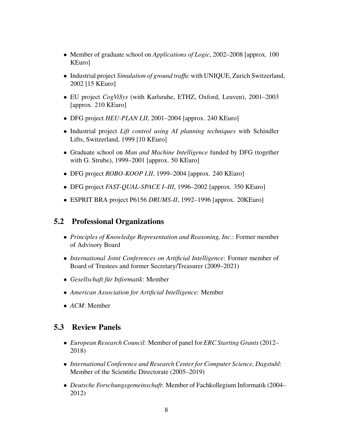- Member of graduate school on *Applications of Logic*, 2002–2008 [approx. 100 KEuro]
- Industrial project *Simulation of ground traffic* with UNIQUE, Zurich Switzerland, 2002 [15 KEuro]
- EU project *CogViSys* (with Karlsruhe, ETHZ, Oxford, Leuven), 2001–2003 [approx. 210 KEuro]
- DFG project *HEU-PLAN I,II*, 2001–2004 [approx. 240 KEuro]
- Industrial project *Lift control using AI planning techniques* with Schindler Lifts, Switzerland, 1999 [10 KEuro]
- Graduate school on *Man and Machine Intelligence* funded by DFG (together with G. Strube), 1999–2001 [approx. 50 KEuro]
- DFG project *ROBO-KOOP I,II*, 1999–2004 [approx. 240 KEuro]
- DFG project *FAST-QUAL-SPACE I–III*, 1996–2002 [approx. 350 KEuro]
- ESPRIT BRA project P6156 *DRUMS-II*, 1992–1996 [approx. 20KEuro]

# 5.2 Professional Organizations

- *Principles of Knowledge Representation and Reasoning, Inc.*: Former member of Advisory Board
- *International Joint Conferences on Artificial Intelligence*: Former member of Board of Trustees and former Secretary/Treasurer (2009–2021)
- Gesellschaft für Informatik: Member
- *American Association for Artificial Intelligence*: Member
- *ACM*: Member

### 5.3 Review Panels

- *European Research Council*: Member of panel for *ERC Starting Grants*(2012– 2018)
- *International Conference and Research Center for Computer Science, Dagstuhl*: Member of the Scientific Directorate (2005–2019)
- *Deutsche Forschungsgemeinschaft*: Member of Fachkollegium Informatik (2004– 2012)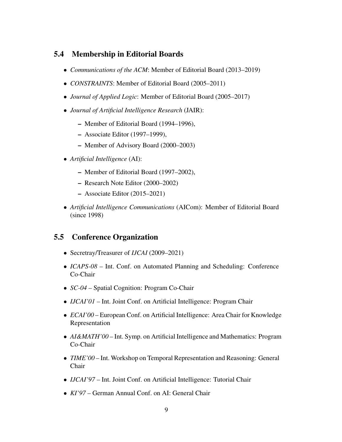## 5.4 Membership in Editorial Boards

- *Communications of the ACM*: Member of Editorial Board (2013–2019)
- *CONSTRAINTS*: Member of Editorial Board (2005–2011)
- *Journal of Applied Logic*: Member of Editorial Board (2005–2017)
- *Journal of Artificial Intelligence Research* (JAIR):
	- Member of Editorial Board (1994–1996),
	- Associate Editor (1997–1999),
	- Member of Advisory Board (2000–2003)
- *Artificial Intelligence* (AI):
	- Member of Editorial Board (1997–2002),
	- Research Note Editor (2000–2002)
	- Associate Editor (2015–2021)
- *Artificial Intelligence Communications* (AICom): Member of Editorial Board (since 1998)

# 5.5 Conference Organization

- Secretray/Treasurer of *IJCAI* (2009–2021)
- *ICAPS-08* Int. Conf. on Automated Planning and Scheduling: Conference Co-Chair
- *SC-04* Spatial Cognition: Program Co-Chair
- *IJCAI'01* Int. Joint Conf. on Artificial Intelligence: Program Chair
- *ECAI'00* European Conf. on Artificial Intelligence: Area Chair for Knowledge Representation
- *AI&MATH'00* Int. Symp. on Artificial Intelligence and Mathematics: Program Co-Chair
- *TIME'00* Int. Workshop on Temporal Representation and Reasoning: General Chair
- *IJCAI'97* Int. Joint Conf. on Artificial Intelligence: Tutorial Chair
- *KI'97* German Annual Conf. on AI: General Chair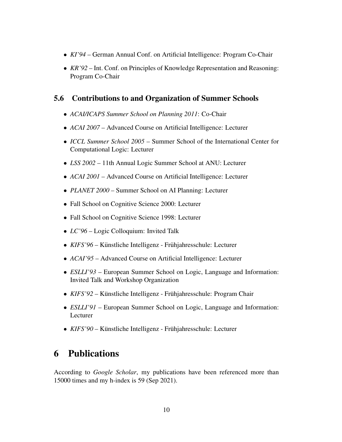- *KI'94* German Annual Conf. on Artificial Intelligence: Program Co-Chair
- *KR'92* Int. Conf. on Principles of Knowledge Representation and Reasoning: Program Co-Chair

# 5.6 Contributions to and Organization of Summer Schools

- *ACAI/ICAPS Summer School on Planning 2011*: Co-Chair
- *ACAI 2007* Advanced Course on Artificial Intelligence: Lecturer
- *ICCL Summer School 2005* Summer School of the International Center for Computational Logic: Lecturer
- *LSS 2002* 11th Annual Logic Summer School at ANU: Lecturer
- *ACAI 2001* Advanced Course on Artificial Intelligence: Lecturer
- *PLANET 2000* Summer School on AI Planning: Lecturer
- Fall School on Cognitive Science 2000: Lecturer
- Fall School on Cognitive Science 1998: Lecturer
- *LC'96* Logic Colloquium: Invited Talk
- *KIFS'96* Künstliche Intelligenz Frühjahresschule: Lecturer
- *ACAI'95* Advanced Course on Artificial Intelligence: Lecturer
- *ESLLI'93* European Summer School on Logic, Language and Information: Invited Talk and Workshop Organization
- *KIFS'92* Künstliche Intelligenz Frühjahresschule: Program Chair
- *ESLLI'91* European Summer School on Logic, Language and Information: Lecturer
- *KIFS'90* Künstliche Intelligenz Frühjahresschule: Lecturer

# 6 Publications

According to *Google Scholar*, my publications have been referenced more than 15000 times and my h-index is 59 (Sep 2021).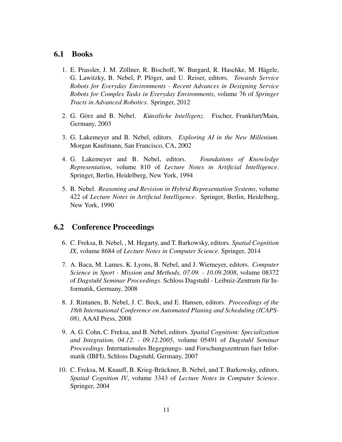### 6.1 Books

- 1. E. Prassler, J. M. Zöllner, R. Bischoff, W. Burgard, R. Haschke, M. Hägele, G. Lawitzky, B. Nebel, P. Ploger, and U. Reiser, editors. ¨ *Towards Service Robots for Everyday Environments - Recent Advances in Designing Service Robots for Complex Tasks in Everyday Environments*, volume 76 of *Springer Tracts in Advanced Robotics*. Springer, 2012
- 2. G. Görz and B. Nebel. *Künstliche Intelligenz*. Fischer, Frankfurt/Main, Germany, 2003
- 3. G. Lakemeyer and B. Nebel, editors. *Exploring AI in the New Millenium*. Morgan Kaufmann, San Francisco, CA, 2002
- 4. G. Lakemeyer and B. Nebel, editors. *Foundations of Knowledge Representation*, volume 810 of *Lecture Notes in Artificial Intelligence*. Springer, Berlin, Heidelberg, New York, 1994
- 5. B. Nebel. *Reasoning and Revision in Hybrid Representation Systems*, volume 422 of *Lecture Notes in Artificial Intelligence*. Springer, Berlin, Heidelberg, New York, 1990

### 6.2 Conference Proceedings

- 6. C. Freksa, B. Nebel, , M. Hegarty, and T. Barkowsky, editors. *Spatial Cognition IX*, volume 8684 of *Lecture Notes in Computer Science*. Springer, 2014
- 7. A. Baca, M. Lames, K. Lyons, B. Nebel, and J. Wiemeyer, editors. *Computer Science in Sport - Mission and Methods, 07.09. - 10.09.2008*, volume 08372 of *Dagstuhl Seminar Proceedings*. Schloss Dagstuhl - Leibniz-Zentrum fur In- ¨ formatik, Germany, 2008
- 8. J. Rintanen, B. Nebel, J. C. Beck, and E. Hansen, editors. *Proceedings of the 18th International Conference on Automated Planing and Scheduling (ICAPS-08)*. AAAI Press, 2008
- 9. A. G. Cohn, C. Freksa, and B. Nebel, editors. *Spatial Cognition: Specialization and Integration, 04.12. - 09.12.2005*, volume 05491 of *Dagstuhl Seminar Proceedings*. Internationales Begegnungs- und Forschungszentrum fuer Informatik (IBFI), Schloss Dagstuhl, Germany, 2007
- 10. C. Freksa, M. Knauff, B. Krieg-Bruckner, B. Nebel, and T. Barkowsky, editors. ¨ *Spatial Cognition IV*, volume 3343 of *Lecture Notes in Computer Science*. Springer, 2004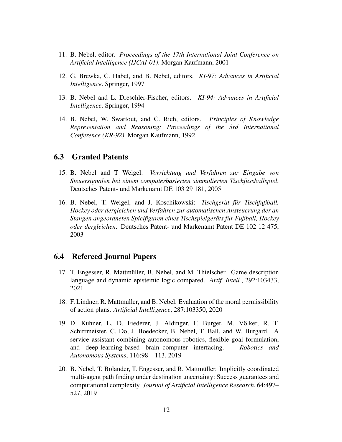- 11. B. Nebel, editor. *Proceedings of the 17th International Joint Conference on Artificial Intelligence (IJCAI-01)*. Morgan Kaufmann, 2001
- 12. G. Brewka, C. Habel, and B. Nebel, editors. *KI-97: Advances in Artificial Intelligence*. Springer, 1997
- 13. B. Nebel and L. Dreschler-Fischer, editors. *KI-94: Advances in Artificial Intelligence*. Springer, 1994
- 14. B. Nebel, W. Swartout, and C. Rich, editors. *Principles of Knowledge Representation and Reasoning: Proceedings of the 3rd International Conference (KR-92)*. Morgan Kaufmann, 1992

### 6.3 Granted Patents

- 15. B. Nebel and T Weigel: *Vorrichtung und Verfahren zur Eingabe von Steuersignalen bei einem computerbasierten simmulierten Tischfussballspiel*, Deutsches Patent- und Markenamt DE 103 29 181, 2005
- 16. B. Nebel, T. Weigel, and J. Koschikowski: *Tischgerät für Tischfußball*, *Hockey oder dergleichen und Verfahren zur automatischen Ansteuerung der an Stangen angeordneten Spielfiguren eines Tischspielgerats f ¨ ur Fußball, Hockey ¨ oder dergleichen*. Deutsches Patent- und Markenamt Patent DE 102 12 475, 2003

#### 6.4 Refereed Journal Papers

- 17. T. Engesser, R. Mattmuller, B. Nebel, and M. Thielscher. Game description ¨ language and dynamic epistemic logic compared. *Artif. Intell.*, 292:103433, 2021
- 18. F. Lindner, R. Mattmüller, and B. Nebel. Evaluation of the moral permissibility of action plans. *Artificial Intelligence*, 287:103350, 2020
- 19. D. Kuhner, L. D. Fiederer, J. Aldinger, F. Burget, M. Völker, R. T. Schirrmeister, C. Do, J. Boedecker, B. Nebel, T. Ball, and W. Burgard. A service assistant combining autonomous robotics, flexible goal formulation, and deep-learning-based brain–computer interfacing. *Robotics and Autonomous Systems*, 116:98 – 113, 2019
- 20. B. Nebel, T. Bolander, T. Engesser, and R. Mattmuller. Implicitly coordinated ¨ multi-agent path finding under destination uncertainty: Success guarantees and computational complexity. *Journal of Artificial Intelligence Research*, 64:497– 527, 2019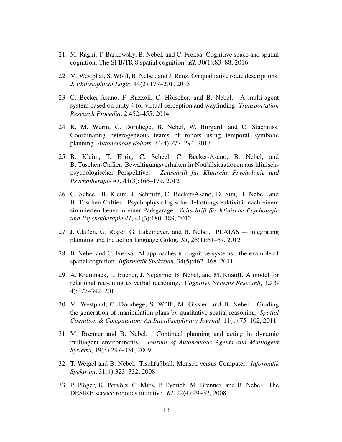- 21. M. Ragni, T. Barkowsky, B. Nebel, and C. Freksa. Cognitive space and spatial cognition: The SFB/TR 8 spatial cognition. *KI*, 30(1):83–88, 2016
- 22. M. Westphal, S. Wölfl, B. Nebel, and J. Renz. On qualitative route descriptions. *J. Philosophical Logic*, 44(2):177–201, 2015
- 23. C. Becker-Asano, F. Ruzzoli, C. Hölscher, and B. Nebel. A multi-agent system based on unity 4 for virtual perception and wayfinding. *Transportation Research Procedia*, 2:452–455, 2014
- 24. K. M. Wurm, C. Dornhege, B. Nebel, W. Burgard, and C. Stachniss. Coordinating heterogeneous teams of robots using temporal symbolic planning. *Autonomous Robots*, 34(4):277–294, 2013
- 25. B. Kleim, T. Ehrig, C. Scheel, C. Becker-Asano, B. Nebel, and B. Tuschen-Caffier. Bewältigungsverhalten in Notfallsituationen aus klinischpsychologischer Perspektive. *Zeitschrift fur Klinische Psychologie und ¨ Psychotherapie 41*, 41(3):166–179, 2012
- 26. C. Scheel, B. Kleim, J. Schmitz, C. Becker-Asano, D. Sun, B. Nebel, and B. Tuschen-Caffier. Psychophysiologische Belastungsreaktivität nach einem simulierten Feuer in einer Parkgarage. *Zeitschrift fur Klinische Psychologie ¨ und Psychotherapie 41*, 41(3):180–189, 2012
- 27. J. Claßen, G. Röger, G. Lakemeyer, and B. Nebel. PLATAS -- integrating planning and the action language Golog. *KI*, 26(1):61–67, 2012
- 28. B. Nebel and C. Freksa. AI approaches to cognitive systems the example of spatial cognition. *Informatik Spektrum*, 34(5):462–468, 2011
- 29. A. Krumnack, L. Bucher, J. Nejasmic, B. Nebel, and M. Knauff. A model for relational reasoning as verbal reasoning. *Cognitive Systems Research*, 12(3- 4):377–392, 2011
- 30. M. Westphal, C. Dornhege, S. Wolfl, M. Gissler, and B. Nebel. Guiding ¨ the generation of manipulation plans by qualitative spatial reasoning. *Spatial Cognition & Computation: An Interdisciplinary Journal*, 11(1):75–102, 2011
- 31. M. Brenner and B. Nebel. Continual planning and acting in dynamic multiagent environments. *Journal of Autonomous Agents and Multiagent Systems*, 19(3):297–331, 2009
- 32. T. Weigel and B. Nebel. Tischfußball: Mensch versus Computer. *Informatik Spektrum*, 31(4):323–332, 2008
- 33. P. Plöger, K. Pervölz, C. Mies, P. Eyerich, M. Brenner, and B. Nebel. The DESIRE service robotics initiative. *KI*, 22(4):29–32, 2008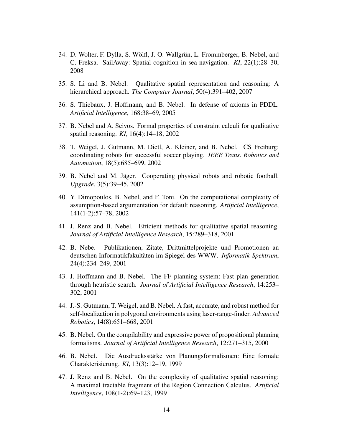- 34. D. Wolter, F. Dylla, S. Wölfl, J. O. Wallgrün, L. Frommberger, B. Nebel, and C. Freksa. SailAway: Spatial cognition in sea navigation. *KI*, 22(1):28–30, 2008
- 35. S. Li and B. Nebel. Qualitative spatial representation and reasoning: A hierarchical approach. *The Computer Journal*, 50(4):391–402, 2007
- 36. S. Thiebaux, J. Hoffmann, and B. Nebel. In defense of axioms in PDDL. *Artificial Intelligence*, 168:38–69, 2005
- 37. B. Nebel and A. Scivos. Formal properties of constraint calculi for qualitative spatial reasoning. *KI*, 16(4):14–18, 2002
- 38. T. Weigel, J. Gutmann, M. Dietl, A. Kleiner, and B. Nebel. CS Freiburg: coordinating robots for successful soccer playing. *IEEE Trans. Robotics and Automation*, 18(5):685–699, 2002
- 39. B. Nebel and M. Jäger. Cooperating physical robots and robotic football. *Upgrade*, 3(5):39–45, 2002
- 40. Y. Dimopoulos, B. Nebel, and F. Toni. On the computational complexity of assumption-based argumentation for default reasoning. *Artificial Intelligence*, 141(1-2):57–78, 2002
- 41. J. Renz and B. Nebel. Efficient methods for qualitative spatial reasoning. *Journal of Artificial Intelligence Research*, 15:289–318, 2001
- 42. B. Nebe. Publikationen, Zitate, Drittmittelprojekte und Promotionen an deutschen Informatikfakultäten im Spiegel des WWW. Informatik-Spektrum, 24(4):234–249, 2001
- 43. J. Hoffmann and B. Nebel. The FF planning system: Fast plan generation through heuristic search. *Journal of Artificial Intelligence Research*, 14:253– 302, 2001
- 44. J.-S. Gutmann, T. Weigel, and B. Nebel. A fast, accurate, and robust method for self-localization in polygonal environments using laser-range-finder. *Advanced Robotics*, 14(8):651–668, 2001
- 45. B. Nebel. On the compilability and expressive power of propositional planning formalisms. *Journal of Artificial Intelligence Research*, 12:271–315, 2000
- 46. B. Nebel. Die Ausdrucksstärke von Planungsformalismen: Eine formale Charakterisierung. *KI*, 13(3):12–19, 1999
- 47. J. Renz and B. Nebel. On the complexity of qualitative spatial reasoning: A maximal tractable fragment of the Region Connection Calculus. *Artificial Intelligence*, 108(1-2):69–123, 1999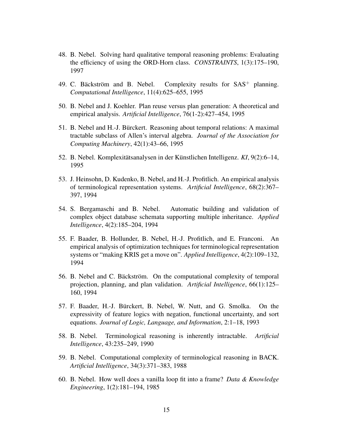- 48. B. Nebel. Solving hard qualitative temporal reasoning problems: Evaluating the efficiency of using the ORD-Horn class. *CONSTRAINTS*, 1(3):175–190, 1997
- 49. C. Bäckström and B. Nebel. Complexity results for  $SAS^+$  planning. *Computational Intelligence*, 11(4):625–655, 1995
- 50. B. Nebel and J. Koehler. Plan reuse versus plan generation: A theoretical and empirical analysis. *Artificial Intelligence*, 76(1-2):427–454, 1995
- 51. B. Nebel and H.-J. Burckert. Reasoning about temporal relations: A maximal ¨ tractable subclass of Allen's interval algebra. *Journal of the Association for Computing Machinery*, 42(1):43–66, 1995
- 52. B. Nebel. Komplexitätsanalysen in der Künstlichen Intelligenz. KI, 9(2):6–14, 1995
- 53. J. Heinsohn, D. Kudenko, B. Nebel, and H.-J. Profitlich. An empirical analysis of terminological representation systems. *Artificial Intelligence*, 68(2):367– 397, 1994
- 54. S. Bergamaschi and B. Nebel. Automatic building and validation of complex object database schemata supporting multiple inheritance. *Applied Intelligence*, 4(2):185–204, 1994
- 55. F. Baader, B. Hollunder, B. Nebel, H.-J. Profitlich, and E. Franconi. An empirical analysis of optimization techniques for terminological representation systems or "making KRIS get a move on". *Applied Intelligence*, 4(2):109–132, 1994
- 56. B. Nebel and C. Bäckström. On the computational complexity of temporal projection, planning, and plan validation. *Artificial Intelligence*, 66(1):125– 160, 1994
- 57. F. Baader, H.-J. Burckert, B. Nebel, W. Nutt, and G. Smolka. On the ¨ expressivity of feature logics with negation, functional uncertainty, and sort equations. *Journal of Logic, Language, and Information*, 2:1–18, 1993
- 58. B. Nebel. Terminological reasoning is inherently intractable. *Artificial Intelligence*, 43:235–249, 1990
- 59. B. Nebel. Computational complexity of terminological reasoning in BACK. *Artificial Intelligence*, 34(3):371–383, 1988
- 60. B. Nebel. How well does a vanilla loop fit into a frame? *Data & Knowledge Engineering*, 1(2):181–194, 1985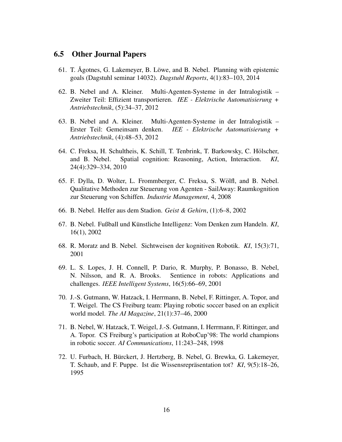#### 6.5 Other Journal Papers

- 61. T. Agotnes, G. Lakemeyer, B. Löwe, and B. Nebel. Planning with epistemic goals (Dagstuhl seminar 14032). *Dagstuhl Reports*, 4(1):83–103, 2014
- 62. B. Nebel and A. Kleiner. Multi-Agenten-Systeme in der Intralogistik Zweiter Teil: Effizient transportieren. *IEE - Elektrische Automatisierung + Antriebstechnik*, (5):34–37, 2012
- 63. B. Nebel and A. Kleiner. Multi-Agenten-Systeme in der Intralogistik Erster Teil: Gemeinsam denken. *IEE - Elektrische Automatisierung + Antriebstechnik*, (4):48–53, 2012
- 64. C. Freksa, H. Schultheis, K. Schill, T. Tenbrink, T. Barkowsky, C. Holscher, ¨ and B. Nebel. Spatial cognition: Reasoning, Action, Interaction. *KI*, 24(4):329–334, 2010
- 65. F. Dylla, D. Wolter, L. Frommberger, C. Freksa, S. Wolfl, and B. Nebel. ¨ Qualitative Methoden zur Steuerung von Agenten - SailAway: Raumkognition zur Steuerung von Schiffen. *Industrie Management*, 4, 2008
- 66. B. Nebel. Helfer aus dem Stadion. *Geist & Gehirn*, (1):6–8, 2002
- 67. B. Nebel. Fußball und Künstliche Intelligenz: Vom Denken zum Handeln. KI, 16(1), 2002
- 68. R. Moratz and B. Nebel. Sichtweisen der kognitiven Robotik. *KI*, 15(3):71, 2001
- 69. L. S. Lopes, J. H. Connell, P. Dario, R. Murphy, P. Bonasso, B. Nebel, N. Nilsson, and R. A. Brooks. Sentience in robots: Applications and challenges. *IEEE Intelligent Systems*, 16(5):66–69, 2001
- 70. J.-S. Gutmann, W. Hatzack, I. Herrmann, B. Nebel, F. Rittinger, A. Topor, and T. Weigel. The CS Freiburg team: Playing robotic soccer based on an explicit world model. *The AI Magazine*, 21(1):37–46, 2000
- 71. B. Nebel, W. Hatzack, T. Weigel, J.-S. Gutmann, I. Herrmann, F. Rittinger, and A. Topor. CS Freiburg's participation at RoboCup'98: The world champions in robotic soccer. *AI Communications*, 11:243–248, 1998
- 72. U. Furbach, H. Bürckert, J. Hertzberg, B. Nebel, G. Brewka, G. Lakemeyer, T. Schaub, and F. Puppe. Ist die Wissensrepräsentation tot? KI, 9(5):18–26, 1995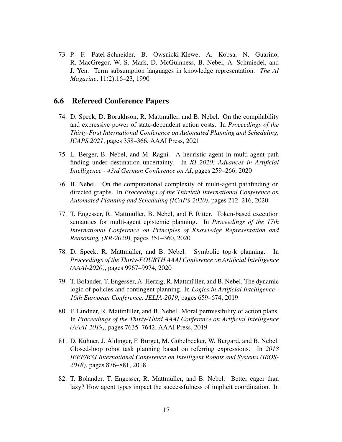73. P. F. Patel-Schneider, B. Owsnicki-Klewe, A. Kobsa, N. Guarino, R. MacGregor, W. S. Mark, D. McGuinness, B. Nebel, A. Schmiedel, and J. Yen. Term subsumption languages in knowledge representation. *The AI Magazine*, 11(2):16–23, 1990

#### 6.6 Refereed Conference Papers

- 74. D. Speck, D. Borukhson, R. Mattmüller, and B. Nebel. On the compilability and expressive power of state-dependent action costs. In *Proceedings of the Thirty-First International Conference on Automated Planning and Scheduling, ICAPS 2021*, pages 358–366. AAAI Press, 2021
- 75. L. Berger, B. Nebel, and M. Ragni. A heuristic agent in multi-agent path finding under destination uncertainty. In *KI 2020: Advances in Artificial Intelligence - 43rd German Conference on AI*, pages 259–266, 2020
- 76. B. Nebel. On the computational complexity of multi-agent pathfinding on directed graphs. In *Proceedings of the Thirtieth International Conference on Automated Planning and Scheduling (ICAPS-2020)*, pages 212–216, 2020
- 77. T. Engesser, R. Mattmuller, B. Nebel, and F. Ritter. Token-based execution ¨ semantics for multi-agent epistemic planning. In *Proceedings of the 17th International Conference on Principles of Knowledge Representation and Reasoning, (KR-2020)*, pages 351–360, 2020
- 78. D. Speck, R. Mattmuller, and B. Nebel. Symbolic top-k planning. In ¨ *Proceedings of the Thirty-FOURTH AAAI Conference on Artificial Intelligence (AAAI-2020)*, pages 9967–9974, 2020
- 79. T. Bolander, T. Engesser, A. Herzig, R. Mattmuller, and B. Nebel. The dynamic ¨ logic of policies and contingent planning. In *Logics in Artificial Intelligence - 16th European Conference, JELIA-2019*, pages 659–674, 2019
- 80. F. Lindner, R. Mattmüller, and B. Nebel. Moral permissibility of action plans. In *Proceedings of the Thirty-Third AAAI Conference on Artificial Intelligence (AAAI-2019)*, pages 7635–7642. AAAI Press, 2019
- 81. D. Kuhner, J. Aldinger, F. Burget, M. Göbelbecker, W. Burgard, and B. Nebel. Closed-loop robot task planning based on referring expressions. In *2018 IEEE/RSJ International Conference on Intelligent Robots and Systems (IROS-2018)*, pages 876–881, 2018
- 82. T. Bolander, T. Engesser, R. Mattmüller, and B. Nebel. Better eager than lazy? How agent types impact the successfulness of implicit coordination. In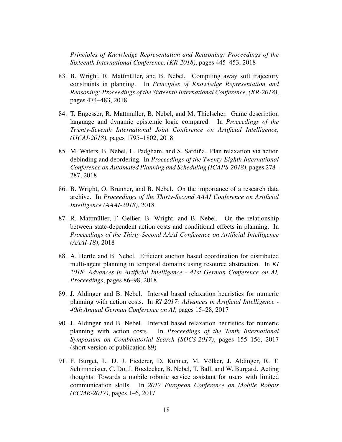*Principles of Knowledge Representation and Reasoning: Proceedings of the Sixteenth International Conference, (KR-2018)*, pages 445–453, 2018

- 83. B. Wright, R. Mattmüller, and B. Nebel. Compiling away soft trajectory constraints in planning. In *Principles of Knowledge Representation and Reasoning: Proceedings of the Sixteenth International Conference, (KR-2018)*, pages 474–483, 2018
- 84. T. Engesser, R. Mattmüller, B. Nebel, and M. Thielscher. Game description language and dynamic epistemic logic compared. In *Proceedings of the Twenty-Seventh International Joint Conference on Artificial Intelligence, (IJCAI-2018)*, pages 1795–1802, 2018
- 85. M. Waters, B. Nebel, L. Padgham, and S. Sardiña. Plan relaxation via action debinding and deordering. In *Proceedings of the Twenty-Eighth International Conference on Automated Planning and Scheduling (ICAPS-2018)*, pages 278– 287, 2018
- 86. B. Wright, O. Brunner, and B. Nebel. On the importance of a research data archive. In *Proceedings of the Thirty-Second AAAI Conference on Artificial Intelligence (AAAI-2018)*, 2018
- 87. R. Mattmüller, F. Geißer, B. Wright, and B. Nebel. On the relationship between state-dependent action costs and conditional effects in planning. In *Proceedings of the Thirty-Second AAAI Conference on Artificial Intelligence (AAAI-18)*, 2018
- 88. A. Hertle and B. Nebel. Efficient auction based coordination for distributed multi-agent planning in temporal domains using resource abstraction. In *KI 2018: Advances in Artificial Intelligence - 41st German Conference on AI, Proceedings*, pages 86–98, 2018
- 89. J. Aldinger and B. Nebel. Interval based relaxation heuristics for numeric planning with action costs. In *KI 2017: Advances in Artificial Intelligence - 40th Annual German Conference on AI*, pages 15–28, 2017
- 90. J. Aldinger and B. Nebel. Interval based relaxation heuristics for numeric planning with action costs. In *Proceedings of the Tenth International Symposium on Combinatorial Search (SOCS-2017)*, pages 155–156, 2017 (short version of publication 89)
- 91. F. Burget, L. D. J. Fiederer, D. Kuhner, M. Volker, J. Aldinger, R. T. ¨ Schirrmeister, C. Do, J. Boedecker, B. Nebel, T. Ball, and W. Burgard. Acting thoughts: Towards a mobile robotic service assistant for users with limited communication skills. In *2017 European Conference on Mobile Robots (ECMR-2017)*, pages 1–6, 2017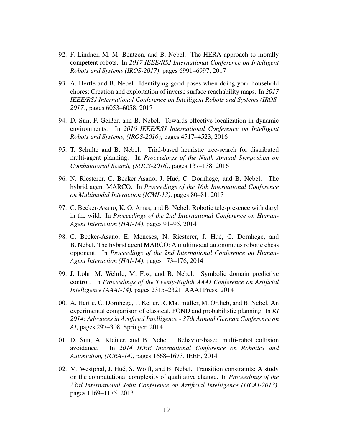- 92. F. Lindner, M. M. Bentzen, and B. Nebel. The HERA approach to morally competent robots. In *2017 IEEE/RSJ International Conference on Intelligent Robots and Systems (IROS-2017)*, pages 6991–6997, 2017
- 93. A. Hertle and B. Nebel. Identifying good poses when doing your household chores: Creation and exploitation of inverse surface reachability maps. In *2017 IEEE/RSJ International Conference on Intelligent Robots and Systems (IROS-2017)*, pages 6053–6058, 2017
- 94. D. Sun, F. Geißer, and B. Nebel. Towards effective localization in dynamic environments. In *2016 IEEE/RSJ International Conference on Intelligent Robots and Systems, (IROS-2016)*, pages 4517–4523, 2016
- 95. T. Schulte and B. Nebel. Trial-based heuristic tree-search for distributed multi-agent planning. In *Proceedings of the Ninth Annual Symposium on Combinatorial Search, (SOCS-2016)*, pages 137–138, 2016
- 96. N. Riesterer, C. Becker-Asano, J. Hue, C. Dornhege, and B. Nebel. The ´ hybrid agent MARCO. In *Proceedings of the 16th International Conference on Multimodal Interaction (ICMI-13)*, pages 80–81, 2013
- 97. C. Becker-Asano, K. O. Arras, and B. Nebel. Robotic tele-presence with daryl in the wild. In *Proceedings of the 2nd International Conference on Human-Agent Interaction (HAI-14)*, pages 91–95, 2014
- 98. C. Becker-Asano, E. Meneses, N. Riesterer, J. Hue, C. Dornhege, and ´ B. Nebel. The hybrid agent MARCO: A multimodal autonomous robotic chess opponent. In *Proceedings of the 2nd International Conference on Human-Agent Interaction (HAI-14)*, pages 173–176, 2014
- 99. J. Löhr, M. Wehrle, M. Fox, and B. Nebel. Symbolic domain predictive control. In *Proceedings of the Twenty-Eighth AAAI Conference on Artificial Intelligence (AAAI-14)*, pages 2315–2321. AAAI Press, 2014
- 100. A. Hertle, C. Dornhege, T. Keller, R. Mattmuller, M. Ortlieb, and B. Nebel. An ¨ experimental comparison of classical, FOND and probabilistic planning. In *KI 2014: Advances in Artificial Intelligence - 37th Annual German Conference on AI*, pages 297–308. Springer, 2014
- 101. D. Sun, A. Kleiner, and B. Nebel. Behavior-based multi-robot collision avoidance. In *2014 IEEE International Conference on Robotics and Automation, (ICRA-14)*, pages 1668–1673. IEEE, 2014
- 102. M. Westphal, J. Hué, S. Wölfl, and B. Nebel. Transition constraints: A study on the computational complexity of qualitative change. In *Proceedings of the 23rd International Joint Conference on Artificial Intelligence (IJCAI-2013)*, pages 1169–1175, 2013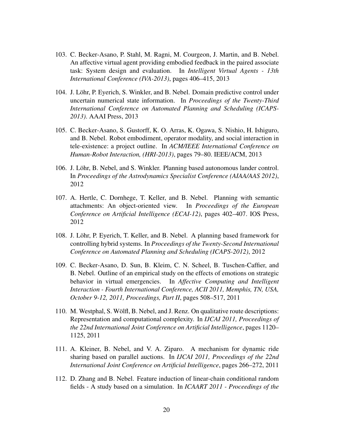- 103. C. Becker-Asano, P. Stahl, M. Ragni, M. Courgeon, J. Martin, and B. Nebel. An affective virtual agent providing embodied feedback in the paired associate task: System design and evaluation. In *Intelligent Virtual Agents - 13th International Conference (IVA-2013)*, pages 406–415, 2013
- 104. J. Lohr, P. Eyerich, S. Winkler, and B. Nebel. Domain predictive control under ¨ uncertain numerical state information. In *Proceedings of the Twenty-Third International Conference on Automated Planning and Scheduling (ICAPS-2013)*. AAAI Press, 2013
- 105. C. Becker-Asano, S. Gustorff, K. O. Arras, K. Ogawa, S. Nishio, H. Ishiguro, and B. Nebel. Robot embodiment, operator modality, and social interaction in tele-existence: a project outline. In *ACM/IEEE International Conference on Human-Robot Interaction, (HRI-2013)*, pages 79–80. IEEE/ACM, 2013
- 106. J. Löhr, B. Nebel, and S. Winkler. Planning based autonomous lander control. In *Proceedings of the Astrodynamics Specialist Conference (AIAA/AAS 2012)*, 2012
- 107. A. Hertle, C. Dornhege, T. Keller, and B. Nebel. Planning with semantic attachments: An object-oriented view. In *Proceedings of the European Conference on Artificial Intelligence (ECAI-12)*, pages 402–407. IOS Press, 2012
- 108. J. Löhr, P. Eyerich, T. Keller, and B. Nebel. A planning based framework for controlling hybrid systems. In *Proceedings of the Twenty-Second International Conference on Automated Planning and Scheduling (ICAPS-2012)*, 2012
- 109. C. Becker-Asano, D. Sun, B. Kleim, C. N. Scheel, B. Tuschen-Caffier, and B. Nebel. Outline of an empirical study on the effects of emotions on strategic behavior in virtual emergencies. In *Affective Computing and Intelligent Interaction - Fourth International Conference, ACII 2011, Memphis, TN, USA, October 9-12, 2011, Proceedings, Part II*, pages 508–517, 2011
- 110. M. Westphal, S. Wolfl, B. Nebel, and J. Renz. On qualitative route descriptions: ¨ Representation and computational complexity. In *IJCAI 2011, Proceedings of the 22nd International Joint Conference on Artificial Intelligence*, pages 1120– 1125, 2011
- 111. A. Kleiner, B. Nebel, and V. A. Ziparo. A mechanism for dynamic ride sharing based on parallel auctions. In *IJCAI 2011, Proceedings of the 22nd International Joint Conference on Artificial Intelligence*, pages 266–272, 2011
- 112. D. Zhang and B. Nebel. Feature induction of linear-chain conditional random fields - A study based on a simulation. In *ICAART 2011 - Proceedings of the*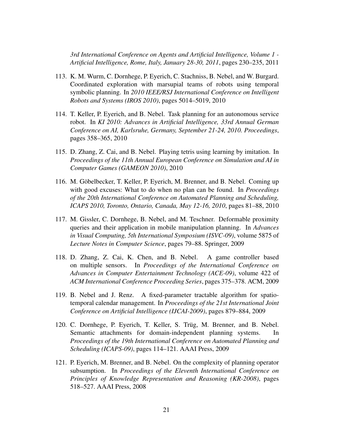*3rd International Conference on Agents and Artificial Intelligence, Volume 1 - Artificial Intelligence, Rome, Italy, January 28-30, 2011*, pages 230–235, 2011

- 113. K. M. Wurm, C. Dornhege, P. Eyerich, C. Stachniss, B. Nebel, and W. Burgard. Coordinated exploration with marsupial teams of robots using temporal symbolic planning. In *2010 IEEE/RSJ International Conference on Intelligent Robots and Systems (IROS 2010)*, pages 5014–5019, 2010
- 114. T. Keller, P. Eyerich, and B. Nebel. Task planning for an autonomous service robot. In *KI 2010: Advances in Artificial Intelligence, 33rd Annual German Conference on AI, Karlsruhe, Germany, September 21-24, 2010. Proceedings*, pages 358–365, 2010
- 115. D. Zhang, Z. Cai, and B. Nebel. Playing tetris using learning by imitation. In *Proceedings of the 11th Annual European Conference on Simulation and AI in Computer Games (GAMEON 2010)*, 2010
- 116. M. Gobelbecker, T. Keller, P. Eyerich, M. Brenner, and B. Nebel. Coming up ¨ with good excuses: What to do when no plan can be found. In *Proceedings of the 20th International Conference on Automated Planning and Scheduling, ICAPS 2010, Toronto, Ontario, Canada, May 12-16, 2010*, pages 81–88, 2010
- 117. M. Gissler, C. Dornhege, B. Nebel, and M. Teschner. Deformable proximity queries and their application in mobile manipulation planning. In *Advances in Visual Computing, 5th International Symposium (ISVC-09)*, volume 5875 of *Lecture Notes in Computer Science*, pages 79–88. Springer, 2009
- 118. D. Zhang, Z. Cai, K. Chen, and B. Nebel. A game controller based on multiple sensors. In *Proceedings of the International Conference on Advances in Computer Entertainment Technology (ACE-09)*, volume 422 of *ACM International Conference Proceeding Series*, pages 375–378. ACM, 2009
- 119. B. Nebel and J. Renz. A fixed-parameter tractable algorithm for spatiotemporal calendar management. In *Proceedings of the 21st International Joint Conference on Artificial Intelligence (IJCAI-2009)*, pages 879–884, 2009
- 120. C. Dornhege, P. Eyerich, T. Keller, S. Trüg, M. Brenner, and B. Nebel. Semantic attachments for domain-independent planning systems. In *Proceedings of the 19th International Conference on Automated Planning and Scheduling (ICAPS-09)*, pages 114–121. AAAI Press, 2009
- 121. P. Eyerich, M. Brenner, and B. Nebel. On the complexity of planning operator subsumption. In *Proceedings of the Eleventh International Conference on Principles of Knowledge Representation and Reasoning (KR-2008)*, pages 518–527. AAAI Press, 2008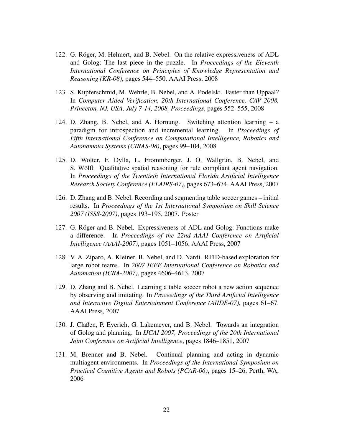- 122. G. Röger, M. Helmert, and B. Nebel. On the relative expressiveness of ADL and Golog: The last piece in the puzzle. In *Proceedings of the Eleventh International Conference on Principles of Knowledge Representation and Reasoning (KR-08)*, pages 544–550. AAAI Press, 2008
- 123. S. Kupferschmid, M. Wehrle, B. Nebel, and A. Podelski. Faster than Uppaal? In *Computer Aided Verification, 20th International Conference, CAV 2008, Princeton, NJ, USA, July 7-14, 2008, Proceedings*, pages 552–555, 2008
- 124. D. Zhang, B. Nebel, and A. Hornung. Switching attention learning a paradigm for introspection and incremental learning. In *Proceedings of Fifth International Conference on Computational Intelligence, Robotics and Autonomous Systems (CIRAS-08)*, pages 99–104, 2008
- 125. D. Wolter, F. Dylla, L. Frommberger, J. O. Wallgrün, B. Nebel, and S. Wölfl. Qualitative spatial reasoning for rule compliant agent navigation. In *Proceedings of the Twentieth International Florida Artificial Intelligence Research Society Conference (FLAIRS-07)*, pages 673–674. AAAI Press, 2007
- 126. D. Zhang and B. Nebel. Recording and segmenting table soccer games initial results. In *Proceedings of the 1st International Symposium on Skill Science 2007 (ISSS-2007)*, pages 193–195, 2007. Poster
- 127. G. Röger and B. Nebel. Expressiveness of ADL and Golog: Functions make a difference. In *Proceedings of the 22nd AAAI Conference on Artificial Intelligence (AAAI-2007)*, pages 1051–1056. AAAI Press, 2007
- 128. V. A. Ziparo, A. Kleiner, B. Nebel, and D. Nardi. RFID-based exploration for large robot teams. In *2007 IEEE International Conference on Robotics and Automation (ICRA-2007)*, pages 4606–4613, 2007
- 129. D. Zhang and B. Nebel. Learning a table soccer robot a new action sequence by observing and imitating. In *Proceedings of the Third Artificial Intelligence and Interactive Digital Entertainment Conference (AIIDE-07)*, pages 61–67. AAAI Press, 2007
- 130. J. Claßen, P. Eyerich, G. Lakemeyer, and B. Nebel. Towards an integration of Golog and planning. In *IJCAI 2007, Proceedings of the 20th International Joint Conference on Artificial Intelligence*, pages 1846–1851, 2007
- 131. M. Brenner and B. Nebel. Continual planning and acting in dynamic multiagent environments. In *Proceedings of the International Symposium on Practical Cognitive Agents and Robots (PCAR-06)*, pages 15–26, Perth, WA, 2006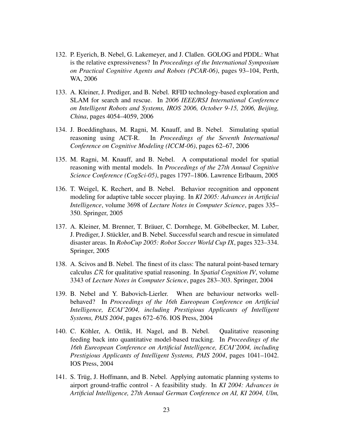- 132. P. Eyerich, B. Nebel, G. Lakemeyer, and J. Claßen. GOLOG and PDDL: What is the relative expressiveness? In *Proceedings of the International Symposium on Practical Cognitive Agents and Robots (PCAR-06)*, pages 93–104, Perth, WA, 2006
- 133. A. Kleiner, J. Prediger, and B. Nebel. RFID technology-based exploration and SLAM for search and rescue. In *2006 IEEE/RSJ International Conference on Intelligent Robots and Systems, IROS 2006, October 9-15, 2006, Beijing, China*, pages 4054–4059, 2006
- 134. J. Boeddinghaus, M. Ragni, M. Knauff, and B. Nebel. Simulating spatial reasoning using ACT-R. In *Proceedings of the Seventh International Conference on Cognitive Modeling (ICCM-06)*, pages 62–67, 2006
- 135. M. Ragni, M. Knauff, and B. Nebel. A computational model for spatial reasoning with mental models. In *Proceedings of the 27th Annual Cognitive Science Conference (CogSci-05)*, pages 1797–1806. Lawrence Erlbaum, 2005
- 136. T. Weigel, K. Rechert, and B. Nebel. Behavior recognition and opponent modeling for adaptive table soccer playing. In *KI 2005: Advances in Artificial Intelligence*, volume 3698 of *Lecture Notes in Computer Science*, pages 335– 350. Springer, 2005
- 137. A. Kleiner, M. Brenner, T. Bräuer, C. Dornhege, M. Göbelbecker, M. Luber, J. Prediger, J. Stückler, and B. Nebel. Successful search and rescue in simulated disaster areas. In *RoboCup 2005: Robot Soccer World Cup IX*, pages 323–334. Springer, 2005
- 138. A. Scivos and B. Nebel. The finest of its class: The natural point-based ternary calculus LR for qualitative spatial reasoning. In *Spatial Cognition IV*, volume 3343 of *Lecture Notes in Computer Science*, pages 283–303. Springer, 2004
- 139. B. Nebel and Y. Babovich-Lierler. When are behaviour networks wellbehaved? In *Proceedings of the 16th Eureopean Conference on Artificial Intelligence, ECAI'2004, including Prestigious Applicants of Intelligent Systems, PAIS 2004*, pages 672–676. IOS Press, 2004
- 140. C. Köhler, A. Ottlik, H. Nagel, and B. Nebel. Qualitative reasoning feeding back into quantitative model-based tracking. In *Proceedings of the 16th Eureopean Conference on Artificial Intelligence, ECAI'2004, including Prestigious Applicants of Intelligent Systems, PAIS 2004*, pages 1041–1042. IOS Press, 2004
- 141. S. Trüg, J. Hoffmann, and B. Nebel. Applying automatic planning systems to airport ground-traffic control - A feasibility study. In *KI 2004: Advances in Artificial Intelligence, 27th Annual German Conference on AI, KI 2004, Ulm,*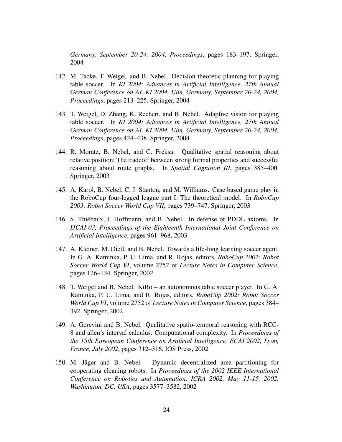*Germany, September 20-24, 2004, Proceedings*, pages 183–197. Springer, 2004

- 142. M. Tacke, T. Weigel, and B. Nebel. Decision-theoretic planning for playing table soccer. In *KI 2004: Advances in Artificial Intelligence, 27th Annual German Conference on AI, KI 2004, Ulm, Germany, September 20-24, 2004, Proceedings*, pages 213–225. Springer, 2004
- 143. T. Weigel, D. Zhang, K. Rechert, and B. Nebel. Adaptive vision for playing table soccer. In *KI 2004: Advances in Artificial Intelligence, 27th Annual German Conference on AI, KI 2004, Ulm, Germany, September 20-24, 2004, Proceedings*, pages 424–438. Springer, 2004
- 144. R. Moratz, B. Nebel, and C. Freksa. Qualitative spatial reasoning about relative position: The tradeoff between strong formal properties and successful reasoning about route graphs. In *Spatial Cognition III*, pages 385–400. Springer, 2003
- 145. A. Karol, B. Nebel, C. J. Stanton, and M. Williams. Case based game play in the RoboCup four-legged league part I: The theoretical model. In *RoboCup 2003: Robot Soccer World Cup VII*, pages 739–747. Springer, 2003
- 146. S. Thiebaux, J. Hoffmann, and B. Nebel. In defense of PDDL axioms. In ´ *IJCAI-03, Proceedings of the Eighteenth International Joint Conference on Artificial Intelligence*, pages 961–968, 2003
- 147. A. Kleiner, M. Dietl, and B. Nebel. Towards a life-long learning soccer agent. In G. A. Kaminka, P. U. Lima, and R. Rojas, editors, *RoboCup 2002: Robot Soccer World Cup VI*, volume 2752 of *Lecture Notes in Computer Science*, pages 126–134. Springer, 2002
- 148. T. Weigel and B. Nebel. KiRo an autonomous table soccer player. In G. A. Kaminka, P. U. Lima, and R. Rojas, editors, *RoboCup 2002: Robot Soccer World Cup VI*, volume 2752 of *Lecture Notes in Computer Science*, pages 384– 392. Springer, 2002
- 149. A. Gerevini and B. Nebel. Qualitative spatio-temporal reasoning with RCC-8 and allen's interval calculus: Computational complexity. In *Proceedings of the 15th Eureopean Conference on Artificial Intelligence, ECAI'2002, Lyon, France, July 2002*, pages 312–316. IOS Press, 2002
- 150. M. Jager and B. Nebel. Dynamic decentralized area partitioning for ¨ cooperating cleaning robots. In *Proceedings of the 2002 IEEE International Conference on Robotics and Automation, ICRA 2002, May 11-15, 2002, Washington, DC, USA*, pages 3577–3582, 2002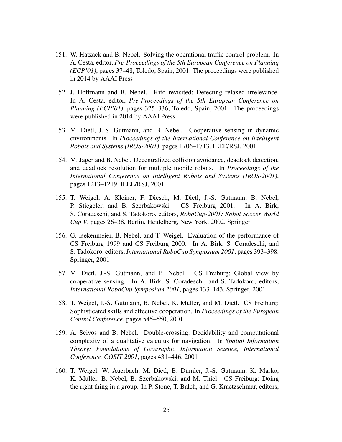- 151. W. Hatzack and B. Nebel. Solving the operational traffic control problem. In A. Cesta, editor, *Pre-Proceedings of the 5th European Conference on Planning (ECP'01)*, pages 37–48, Toledo, Spain, 2001. The proceedings were published in 2014 by AAAI Press
- 152. J. Hoffmann and B. Nebel. Rifo revisited: Detecting relaxed irrelevance. In A. Cesta, editor, *Pre-Proceedings of the 5th European Conference on Planning (ECP'01)*, pages 325–336, Toledo, Spain, 2001. The proceedings were published in 2014 by AAAI Press
- 153. M. Dietl, J.-S. Gutmann, and B. Nebel. Cooperative sensing in dynamic environments. In *Proceedings of the International Conference on Intelligent Robots and Systems (IROS-2001)*, pages 1706–1713. IEEE/RSJ, 2001
- 154. M. Jager and B. Nebel. Decentralized collision avoidance, deadlock detection, ¨ and deadlock resolution for multiple mobile robots. In *Proceedings of the International Conference on Intelligent Robots and Systems (IROS-2001)*, pages 1213–1219. IEEE/RSJ, 2001
- 155. T. Weigel, A. Kleiner, F. Diesch, M. Dietl, J.-S. Gutmann, B. Nebel, P. Stiegeler, and B. Szerbakowski. CS Freiburg 2001. In A. Birk, S. Coradeschi, and S. Tadokoro, editors, *RoboCup-2001: Robot Soccer World Cup V*, pages 26–38, Berlin, Heidelberg, New York, 2002. Springer
- 156. G. Isekenmeier, B. Nebel, and T. Weigel. Evaluation of the performance of CS Freiburg 1999 and CS Freiburg 2000. In A. Birk, S. Coradeschi, and S. Tadokoro, editors, *International RoboCup Symposium 2001*, pages 393–398. Springer, 2001
- 157. M. Dietl, J.-S. Gutmann, and B. Nebel. CS Freiburg: Global view by cooperative sensing. In A. Birk, S. Coradeschi, and S. Tadokoro, editors, *International RoboCup Symposium 2001*, pages 133–143. Springer, 2001
- 158. T. Weigel, J.-S. Gutmann, B. Nebel, K. Müller, and M. Dietl. CS Freiburg: Sophisticated skills and effective cooperation. In *Proceedings of the European Control Conference*, pages 545–550, 2001
- 159. A. Scivos and B. Nebel. Double-crossing: Decidability and computational complexity of a qualitative calculus for navigation. In *Spatial Information Theory: Foundations of Geographic Information Science, International Conference, COSIT 2001*, pages 431–446, 2001
- 160. T. Weigel, W. Auerbach, M. Dietl, B. Dumler, J.-S. Gutmann, K. Marko, ¨ K. Müller, B. Nebel, B. Szerbakowski, and M. Thiel. CS Freiburg: Doing the right thing in a group. In P. Stone, T. Balch, and G. Kraetzschmar, editors,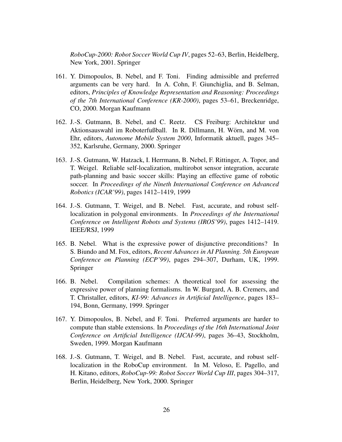*RoboCup-2000: Robot Soccer World Cup IV*, pages 52–63, Berlin, Heidelberg, New York, 2001. Springer

- 161. Y. Dimopoulos, B. Nebel, and F. Toni. Finding admissible and preferred arguments can be very hard. In A. Cohn, F. Giunchiglia, and B. Selman, editors, *Principles of Knowledge Representation and Reasoning: Proceedings of the 7th International Conference (KR-2000)*, pages 53–61, Breckenridge, CO, 2000. Morgan Kaufmann
- 162. J.-S. Gutmann, B. Nebel, and C. Reetz. CS Freiburg: Architektur und Aktionsauswahl im Roboterfußball. In R. Dillmann, H. Wörn, and M. von Ehr, editors, *Autonome Mobile System 2000*, Informatik aktuell, pages 345– 352, Karlsruhe, Germany, 2000. Springer
- 163. J.-S. Gutmann, W. Hatzack, I. Herrmann, B. Nebel, F. Rittinger, A. Topor, and T. Weigel. Reliable self-localization, multirobot sensor integration, accurate path-planning and basic soccer skills: Playing an effective game of robotic soccer. In *Proceedings of the Nineth International Conference on Advanced Robotics (ICAR'99)*, pages 1412–1419, 1999
- 164. J.-S. Gutmann, T. Weigel, and B. Nebel. Fast, accurate, and robust selflocalization in polygonal environments. In *Proceedings of the International Conference on Intelligent Robots and Systems (IROS'99)*, pages 1412–1419. IEEE/RSJ, 1999
- 165. B. Nebel. What is the expressive power of disjunctive preconditions? In S. Biundo and M. Fox, editors, *Recent Advances in AI Planning. 5th European Conference on Planning (ECP'99)*, pages 294–307, Durham, UK, 1999. Springer
- 166. B. Nebel. Compilation schemes: A theoretical tool for assessing the expressive power of planning formalisms. In W. Burgard, A. B. Cremers, and T. Christaller, editors, *KI-99: Advances in Artificial Intelligence*, pages 183– 194, Bonn, Germany, 1999. Springer
- 167. Y. Dimopoulos, B. Nebel, and F. Toni. Preferred arguments are harder to compute than stable extensions. In *Proceedings of the 16th International Joint Conference on Artificial Intelligence (IJCAI-99)*, pages 36–43, Stockholm, Sweden, 1999. Morgan Kaufmann
- 168. J.-S. Gutmann, T. Weigel, and B. Nebel. Fast, accurate, and robust selflocalization in the RoboCup environment. In M. Veloso, E. Pagello, and H. Kitano, editors, *RoboCup-99: Robot Soccer World Cup III*, pages 304–317, Berlin, Heidelberg, New York, 2000. Springer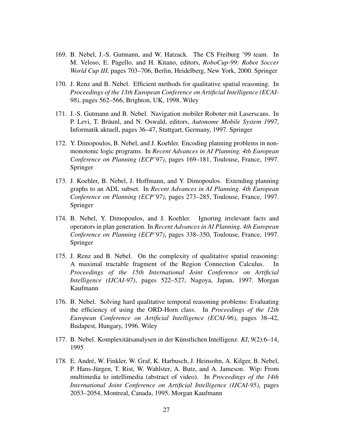- 169. B. Nebel, J.-S. Gutmann, and W. Hatzack. The CS Freiburg '99 team. In M. Veloso, E. Pagello, and H. Kitano, editors, *RoboCup-99: Robot Soccer World Cup III*, pages 703–706, Berlin, Heidelberg, New York, 2000. Springer
- 170. J. Renz and B. Nebel. Efficient methods for qualitative spatial reasoning. In *Proceedings of the 13th European Conference on Artificial Intelligence (ECAI-98)*, pages 562–566, Brighton, UK, 1998. Wiley
- 171. J.-S. Gutmann and B. Nebel. Navigation mobiler Roboter mit Laserscans. In P. Levi, T. Bräunl, and N. Oswald, editors, *Autonome Mobile System 1997*, Informatik aktuell, pages 36–47, Stuttgart, Germany, 1997. Springer
- 172. Y. Dimopoulos, B. Nebel, and J. Koehler. Encoding planning problems in nonmonotonic logic programs. In *Recent Advances in AI Planning. 4th European Conference on Planning (ECP'97)*, pages 169–181, Toulouse, France, 1997. Springer
- 173. J. Koehler, B. Nebel, J. Hoffmann, and Y. Dimopoulos. Extending planning graphs to an ADL subset. In *Recent Advances in AI Planning. 4th European Conference on Planning (ECP'97)*, pages 273–285, Toulouse, France, 1997. Springer
- 174. B. Nebel, Y. Dimopoulos, and J. Koehler. Ignoring irrelevant facts and operators in plan generation. In *Recent Advances in AI Planning. 4th European Conference on Planning (ECP'97)*, pages 338–350, Toulouse, France, 1997. Springer
- 175. J. Renz and B. Nebel. On the complexity of qualitative spatial reasoning: A maximal tractable fragment of the Region Connection Calculus. In *Proceedings of the 15th International Joint Conference on Artificial Intelligence (IJCAI-97)*, pages 522–527, Nagoya, Japan, 1997. Morgan Kaufmann
- 176. B. Nebel. Solving hard qualitative temporal reasoning problems: Evaluating the efficiency of using the ORD-Horn class. In *Proceedings of the 12th European Conference on Artificial Intelligence (ECAI-96)*, pages 38–42, Budapest, Hungary, 1996. Wiley
- 177. B. Nebel. Komplexitätsanalysen in der Künstlichen Intelligenz. KI, 9(2):6–14, 1995
- 178. E. André, W. Finkler, W. Graf, K. Harbusch, J. Heinsohn, A. Kilger, B. Nebel, P. Hans-Jürgen, T. Rist, W. Wahlster, A. Butz, and A. Jameson. Wip: From multimedia to intellimedia (abstract of video). In *Proceedings of the 14th International Joint Conference on Artificial Intelligence (IJCAI-95)*, pages 2053–2054, Montreal, Canada, 1995. Morgan Kaufmann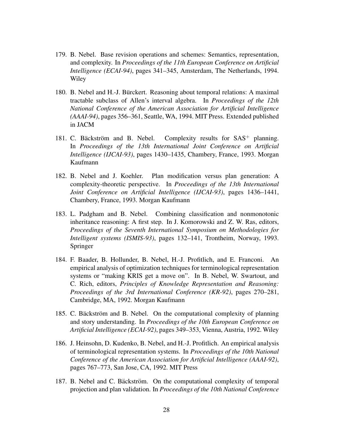- 179. B. Nebel. Base revision operations and schemes: Semantics, representation, and complexity. In *Proceedings of the 11th European Conference on Artificial Intelligence (ECAI-94)*, pages 341–345, Amsterdam, The Netherlands, 1994. Wiley
- 180. B. Nebel and H.-J. Burckert. Reasoning about temporal relations: A maximal ¨ tractable subclass of Allen's interval algebra. In *Proceedings of the 12th National Conference of the American Association for Artificial Intelligence (AAAI-94)*, pages 356–361, Seattle, WA, 1994. MIT Press. Extended published in JACM
- 181. C. Bäckström and B. Nebel. Complexity results for  $SAS^+$  planning. In *Proceedings of the 13th International Joint Conference on Artificial Intelligence (IJCAI-93)*, pages 1430–1435, Chambery, France, 1993. Morgan Kaufmann
- 182. B. Nebel and J. Koehler. Plan modification versus plan generation: A complexity-theoretic perspective. In *Proceedings of the 13th International Joint Conference on Artificial Intelligence (IJCAI-93)*, pages 1436–1441, Chambery, France, 1993. Morgan Kaufmann
- 183. L. Padgham and B. Nebel. Combining classification and nonmonotonic inheritance reasoning: A first step. In J. Komorowski and Z. W. Ras, editors, *Proceedings of the Seventh International Symposium on Methodologies for Intelligent systems (ISMIS-93)*, pages 132–141, Trontheim, Norway, 1993. Springer
- 184. F. Baader, B. Hollunder, B. Nebel, H.-J. Profitlich, and E. Franconi. An empirical analysis of optimization techniques for terminological representation systems or "making KRIS get a move on". In B. Nebel, W. Swartout, and C. Rich, editors, *Principles of Knowledge Representation and Reasoning: Proceedings of the 3rd International Conference (KR-92)*, pages 270–281, Cambridge, MA, 1992. Morgan Kaufmann
- 185. C. Bäckström and B. Nebel. On the computational complexity of planning and story understanding. In *Proceedings of the 10th European Conference on Artificial Intelligence (ECAI-92)*, pages 349–353, Vienna, Austria, 1992. Wiley
- 186. J. Heinsohn, D. Kudenko, B. Nebel, and H.-J. Profitlich. An empirical analysis of terminological representation systems. In *Proceedings of the 10th National Conference of the American Association for Artificial Intelligence (AAAI-92)*, pages 767–773, San Jose, CA, 1992. MIT Press
- 187. B. Nebel and C. Bäckström. On the computational complexity of temporal projection and plan validation. In *Proceedings of the 10th National Conference*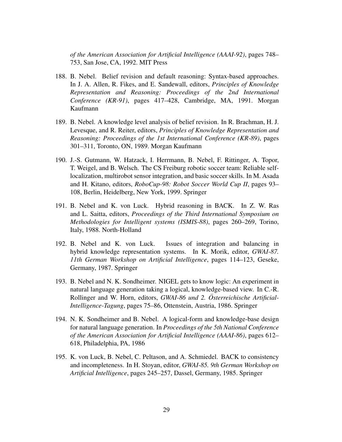*of the American Association for Artificial Intelligence (AAAI-92)*, pages 748– 753, San Jose, CA, 1992. MIT Press

- 188. B. Nebel. Belief revision and default reasoning: Syntax-based approaches. In J. A. Allen, R. Fikes, and E. Sandewall, editors, *Principles of Knowledge Representation and Reasoning: Proceedings of the 2nd International Conference (KR-91)*, pages 417–428, Cambridge, MA, 1991. Morgan Kaufmann
- 189. B. Nebel. A knowledge level analysis of belief revision. In R. Brachman, H. J. Levesque, and R. Reiter, editors, *Principles of Knowledge Representation and Reasoning: Proceedings of the 1st International Conference (KR-89)*, pages 301–311, Toronto, ON, 1989. Morgan Kaufmann
- 190. J.-S. Gutmann, W. Hatzack, I. Herrmann, B. Nebel, F. Rittinger, A. Topor, T. Weigel, and B. Welsch. The CS Freiburg robotic soccer team: Reliable selflocalization, multirobot sensor integration, and basic soccer skills. In M. Asada and H. Kitano, editors, *RoboCup-98: Robot Soccer World Cup II*, pages 93– 108, Berlin, Heidelberg, New York, 1999. Springer
- 191. B. Nebel and K. von Luck. Hybrid reasoning in BACK. In Z. W. Ras and L. Saitta, editors, *Proceedings of the Third International Symposium on Methodologies for Intelligent systems (ISMIS-88)*, pages 260–269, Torino, Italy, 1988. North-Holland
- 192. B. Nebel and K. von Luck. Issues of integration and balancing in hybrid knowledge representation systems. In K. Morik, editor, *GWAI-87. 11th German Workshop on Artificial Intelligence*, pages 114–123, Geseke, Germany, 1987. Springer
- 193. B. Nebel and N. K. Sondheimer. NIGEL gets to know logic: An experiment in natural language generation taking a logical, knowledge-based view. In C.-R. Rollinger and W. Horn, editors, *GWAI-86 und 2. Osterreichische Artificial- ¨ Intelligence-Tagung*, pages 75–86, Ottenstein, Austria, 1986. Springer
- 194. N. K. Sondheimer and B. Nebel. A logical-form and knowledge-base design for natural language generation. In *Proceedings of the 5th National Conference of the American Association for Artificial Intelligence (AAAI-86)*, pages 612– 618, Philadelphia, PA, 1986
- 195. K. von Luck, B. Nebel, C. Peltason, and A. Schmiedel. BACK to consistency and incompleteness. In H. Stoyan, editor, *GWAI-85. 9th German Workshop on Artificial Intelligence*, pages 245–257, Dassel, Germany, 1985. Springer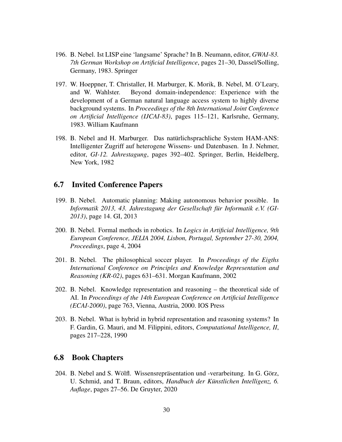- 196. B. Nebel. Ist LISP eine 'langsame' Sprache? In B. Neumann, editor, *GWAI-83. 7th German Workshop on Artificial Intelligence*, pages 21–30, Dassel/Solling, Germany, 1983. Springer
- 197. W. Hoeppner, T. Christaller, H. Marburger, K. Morik, B. Nebel, M. O'Leary, and W. Wahlster. Beyond domain-independence: Experience with the development of a German natural language access system to highly diverse background systems. In *Proceedings of the 8th International Joint Conference on Artificial Intelligence (IJCAI-83)*, pages 115–121, Karlsruhe, Germany, 1983. William Kaufmann
- 198. B. Nebel and H. Marburger. Das naturlichsprachliche System HAM-ANS: ¨ Intelligenter Zugriff auf heterogene Wissens- und Datenbasen. In J. Nehmer, editor, *GI-12. Jahrestagung*, pages 392–402. Springer, Berlin, Heidelberg, New York, 1982

#### 6.7 Invited Conference Papers

- 199. B. Nebel. Automatic planning: Making autonomous behavior possible. In *Informatik 2013, 43. Jahrestagung der Gesellschaft fur Informatik e.V. (GI- ¨ 2013)*, page 14. GI, 2013
- 200. B. Nebel. Formal methods in robotics. In *Logics in Artificial Intelligence, 9th European Conference, JELIA 2004, Lisbon, Portugal, September 27-30, 2004, Proceedings*, page 4, 2004
- 201. B. Nebel. The philosophical soccer player. In *Proceedings of the Eigths International Conference on Principles and Knowledge Representation and Reasoning (KR-02)*, pages 631–631. Morgan Kaufmann, 2002
- 202. B. Nebel. Knowledge representation and reasoning the theoretical side of AI. In *Proceedings of the 14th European Conference on Artificial Intelligence (ECAI-2000)*, page 763, Vienna, Austria, 2000. IOS Press
- 203. B. Nebel. What is hybrid in hybrid representation and reasoning systems? In F. Gardin, G. Mauri, and M. Filippini, editors, *Computational Intelligence, II*, pages 217–228, 1990

#### 6.8 Book Chapters

204. B. Nebel and S. Wölfl. Wissensrepräsentation und -verarbeitung. In G. Görz, U. Schmid, and T. Braun, editors, *Handbuch der Künstlichen Intelligenz*, 6. *Auflage*, pages 27–56. De Gruyter, 2020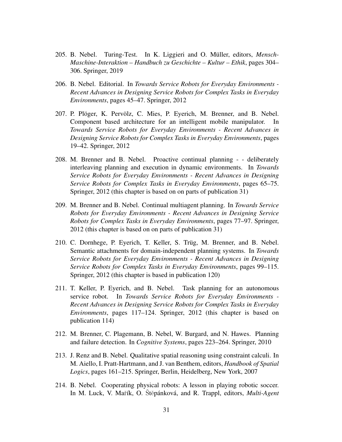- 205. B. Nebel. Turing-Test. In K. Liggieri and O. Müller, editors, *Mensch-Maschine-Interaktion – Handbuch zu Geschichte – Kultur – Ethik*, pages 304– 306. Springer, 2019
- 206. B. Nebel. Editorial. In *Towards Service Robots for Everyday Environments - Recent Advances in Designing Service Robots for Complex Tasks in Everyday Environments*, pages 45–47. Springer, 2012
- 207. P. Plöger, K. Pervölz, C. Mies, P. Eyerich, M. Brenner, and B. Nebel. Component based architecture for an intelligent mobile manipulator. In *Towards Service Robots for Everyday Environments - Recent Advances in Designing Service Robots for Complex Tasks in Everyday Environments*, pages 19–42. Springer, 2012
- 208. M. Brenner and B. Nebel. Proactive continual planning - deliberately interleaving planning and execution in dynamic environments. In *Towards Service Robots for Everyday Environments - Recent Advances in Designing Service Robots for Complex Tasks in Everyday Environments*, pages 65–75. Springer, 2012 (this chapter is based on on parts of publication 31)
- 209. M. Brenner and B. Nebel. Continual multiagent planning. In *Towards Service Robots for Everyday Environments - Recent Advances in Designing Service Robots for Complex Tasks in Everyday Environments*, pages 77–97. Springer, 2012 (this chapter is based on on parts of publication 31)
- 210. C. Dornhege, P. Eyerich, T. Keller, S. Trüg, M. Brenner, and B. Nebel. Semantic attachments for domain-independent planning systems. In *Towards Service Robots for Everyday Environments - Recent Advances in Designing Service Robots for Complex Tasks in Everyday Environments*, pages 99–115. Springer, 2012 (this chapter is based in publication 120)
- 211. T. Keller, P. Eyerich, and B. Nebel. Task planning for an autonomous service robot. In *Towards Service Robots for Everyday Environments - Recent Advances in Designing Service Robots for Complex Tasks in Everyday Environments*, pages 117–124. Springer, 2012 (this chapter is based on publication 114)
- 212. M. Brenner, C. Plagemann, B. Nebel, W. Burgard, and N. Hawes. Planning and failure detection. In *Cognitive Systems*, pages 223–264. Springer, 2010
- 213. J. Renz and B. Nebel. Qualitative spatial reasoning using constraint calculi. In M. Aiello, I. Pratt-Hartmann, and J. van Benthem, editors, *Handbook of Spatial Logics*, pages 161–215. Springer, Berlin, Heidelberg, New York, 2007
- 214. B. Nebel. Cooperating physical robots: A lesson in playing robotic soccer. In M. Luck, V. Mařík, O. Štěpánková, and R. Trappl, editors, *Multi-Agent*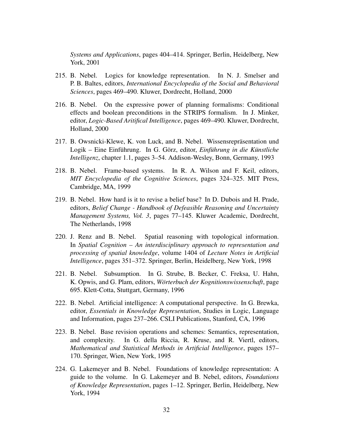*Systems and Applications*, pages 404–414. Springer, Berlin, Heidelberg, New York, 2001

- 215. B. Nebel. Logics for knowledge representation. In N. J. Smelser and P. B. Baltes, editors, *International Encyclopedia of the Social and Behavioral Sciences*, pages 469–490. Kluwer, Dordrecht, Holland, 2000
- 216. B. Nebel. On the expressive power of planning formalisms: Conditional effects and boolean preconditions in the STRIPS formalism. In J. Minker, editor, *Logic-Based Aritifical Intelligence*, pages 469–490. Kluwer, Dordrecht, Holland, 2000
- 217. B. Owsnicki-Klewe, K. von Luck, and B. Nebel. Wissensrepräsentation und Logik – Eine Einführung. In G. Görz, editor, *Einführung in die Künstliche Intelligenz*, chapter 1.1, pages 3–54. Addison-Wesley, Bonn, Germany, 1993
- 218. B. Nebel. Frame-based systems. In R. A. Wilson and F. Keil, editors, *MIT Encyclopedia of the Cognitive Sciences*, pages 324–325. MIT Press, Cambridge, MA, 1999
- 219. B. Nebel. How hard is it to revise a belief base? In D. Dubois and H. Prade, editors, *Belief Change - Handbook of Defeasible Reasoning and Uncertainty Management Systems, Vol. 3*, pages 77–145. Kluwer Academic, Dordrecht, The Netherlands, 1998
- 220. J. Renz and B. Nebel. Spatial reasoning with topological information. In *Spatial Cognition – An interdisciplinary approach to representation and processing of spatial knowledge*, volume 1404 of *Lecture Notes in Artificial Intelligence*, pages 351–372. Springer, Berlin, Heidelberg, New York, 1998
- 221. B. Nebel. Subsumption. In G. Strube, B. Becker, C. Freksa, U. Hahn, K. Opwis, and G. Plam, editors, *Wörterbuch der Kognitionswissenschaft*, page 695. Klett-Cotta, Stuttgart, Germany, 1996
- 222. B. Nebel. Artificial intelligence: A computational perspective. In G. Brewka, editor, *Essentials in Knowledge Representation*, Studies in Logic, Language and Information, pages 237–266. CSLI Publications, Stanford, CA, 1996
- 223. B. Nebel. Base revision operations and schemes: Semantics, representation, and complexity. In G. della Riccia, R. Kruse, and R. Viertl, editors, *Mathematical and Statistical Methods in Artificial Intelligence*, pages 157– 170. Springer, Wien, New York, 1995
- 224. G. Lakemeyer and B. Nebel. Foundations of knowledge representation: A guide to the volume. In G. Lakemeyer and B. Nebel, editors, *Foundations of Knowledge Representation*, pages 1–12. Springer, Berlin, Heidelberg, New York, 1994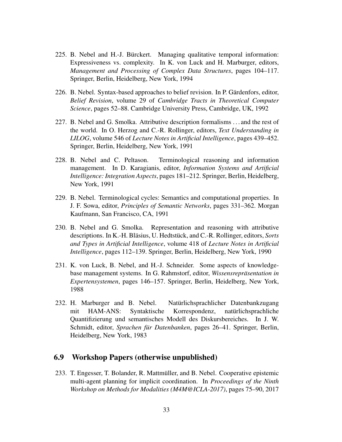- 225. B. Nebel and H.-J. Bürckert. Managing qualitative temporal information: Expressiveness vs. complexity. In K. von Luck and H. Marburger, editors, *Management and Processing of Complex Data Structures*, pages 104–117. Springer, Berlin, Heidelberg, New York, 1994
- 226. B. Nebel. Syntax-based approaches to belief revision. In P. Gärdenfors, editor, *Belief Revision*, volume 29 of *Cambridge Tracts in Theoretical Computer Science*, pages 52–88. Cambridge University Press, Cambridge, UK, 1992
- 227. B. Nebel and G. Smolka. Attributive description formalisms . . . and the rest of the world. In O. Herzog and C.-R. Rollinger, editors, *Text Understanding in LILOG*, volume 546 of *Lecture Notes in Artificial Intelligence*, pages 439–452. Springer, Berlin, Heidelberg, New York, 1991
- 228. B. Nebel and C. Peltason. Terminological reasoning and information management. In D. Karagianis, editor, *Information Systems and Artificial Intelligence: Integration Aspects*, pages 181–212. Springer, Berlin, Heidelberg, New York, 1991
- 229. B. Nebel. Terminological cycles: Semantics and computational properties. In J. F. Sowa, editor, *Principles of Semantic Networks*, pages 331–362. Morgan Kaufmann, San Francisco, CA, 1991
- 230. B. Nebel and G. Smolka. Representation and reasoning with attributive descriptions. In K.-H. Bläsius, U. Hedtstück, and C.-R. Rollinger, editors, Sorts *and Types in Artificial Intelligence*, volume 418 of *Lecture Notes in Artificial Intelligence*, pages 112–139. Springer, Berlin, Heidelberg, New York, 1990
- 231. K. von Luck, B. Nebel, and H.-J. Schneider. Some aspects of knowledgebase management systems. In G. Rahmstorf, editor, *Wissensrepräsentation in Expertensystemen*, pages 146–157. Springer, Berlin, Heidelberg, New York, 1988
- 232. H. Marburger and B. Nebel. Natürlichsprachlicher Datenbankzugang mit HAM-ANS: Syntaktische Korrespondenz, natürlichsprachliche Quantifizierung und semantisches Modell des Diskursbereiches. In J. W. Schmidt, editor, *Sprachen für Datenbanken*, pages 26–41. Springer, Berlin, Heidelberg, New York, 1983

# 6.9 Workshop Papers (otherwise unpublished)

233. T. Engesser, T. Bolander, R. Mattmüller, and B. Nebel. Cooperative epistemic multi-agent planning for implicit coordination. In *Proceedings of the Ninth Workshop on Methods for Modalities (M4M@ICLA-2017)*, pages 75–90, 2017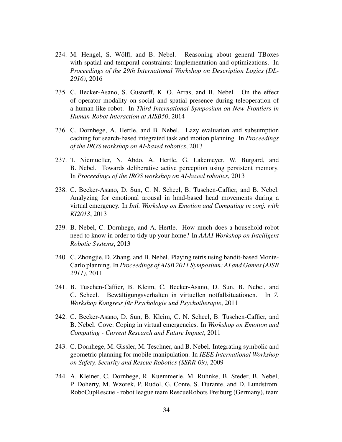- 234. M. Hengel, S. Wölfl, and B. Nebel. Reasoning about general TBoxes with spatial and temporal constraints: Implementation and optimizations. In *Proceedings of the 29th International Workshop on Description Logics (DL-2016)*, 2016
- 235. C. Becker-Asano, S. Gustorff, K. O. Arras, and B. Nebel. On the effect of operator modality on social and spatial presence during teleoperation of a human-like robot. In *Third International Symposium on New Frontiers in Human-Robot Interaction at AISB50*, 2014
- 236. C. Dornhege, A. Hertle, and B. Nebel. Lazy evaluation and subsumption caching for search-based integrated task and motion planning. In *Proceedings of the IROS workshop on AI-based robotics*, 2013
- 237. T. Niemueller, N. Abdo, A. Hertle, G. Lakemeyer, W. Burgard, and B. Nebel. Towards deliberative active perception using persistent memory. In *Proceedings of the IROS workshop on AI-based robotics*, 2013
- 238. C. Becker-Asano, D. Sun, C. N. Scheel, B. Tuschen-Caffier, and B. Nebel. Analyzing for emotional arousal in hmd-based head movements during a virtual emergency. In *Intl. Workshop on Emotion and Computing in conj. with KI2013*, 2013
- 239. B. Nebel, C. Dornhege, and A. Hertle. How much does a household robot need to know in order to tidy up your home? In *AAAI Workshop on Intelligent Robotic Systems*, 2013
- 240. C. Zhongjie, D. Zhang, and B. Nebel. Playing tetris using bandit-based Monte-Carlo planning. In *Proceedings of AISB 2011 Symposium: AI and Games (AISB 2011)*, 2011
- 241. B. Tuschen-Caffier, B. Kleim, C. Becker-Asano, D. Sun, B. Nebel, and C. Scheel. Bewältigungsverhalten in virtuellen notfallsituationen. In 7. *Workshop Kongress für Psychologie und Psychotherapie*, 2011
- 242. C. Becker-Asano, D. Sun, B. Kleim, C. N. Scheel, B. Tuschen-Caffier, and B. Nebel. Cove: Coping in virtual emergencies. In *Workshop on Emotion and Computing - Current Research and Future Impact*, 2011
- 243. C. Dornhege, M. Gissler, M. Teschner, and B. Nebel. Integrating symbolic and geometric planning for mobile manipulation. In *IEEE International Workshop on Safety, Security and Rescue Robotics (SSRR-09)*, 2009
- 244. A. Kleiner, C. Dornhege, R. Kuemmerle, M. Ruhnke, B. Steder, B. Nebel, P. Doherty, M. Wzorek, P. Rudol, G. Conte, S. Durante, and D. Lundstrom. RoboCupRescue - robot league team RescueRobots Freiburg (Germany), team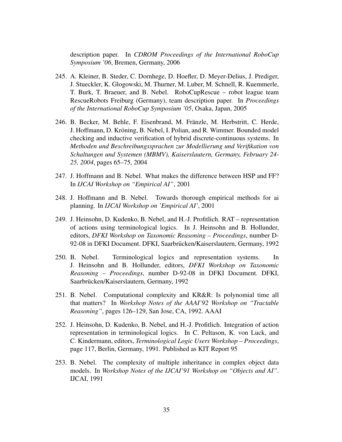description paper. In *CDROM Proceedings of the International RoboCup Symposium '06*, Bremen, Germany, 2006

- 245. A. Kleiner, B. Steder, C. Dornhege, D. Hoefler, D. Meyer-Delius, J. Prediger, J. Stueckler, K. Glogowski, M. Thurner, M. Luber, M. Schnell, R. Kuemmerle, T. Burk, T. Braeuer, and B. Nebel. RoboCupRescue – robot league team RescueRobots Freiburg (Germany), team description paper. In *Proceedings of the International RoboCup Symposium '05*, Osaka, Japan, 2005
- 246. B. Becker, M. Behle, F. Eisenbrand, M. Franzle, M. Herbstritt, C. Herde, ¨ J. Hoffmann, D. Kröning, B. Nebel, I. Polian, and R. Wimmer. Bounded model checking and inductive verification of hybrid discrete-continuous systems. In *Methoden und Beschreibungssprachen zur Modellierung und Verifikation von Schaltungen und Systemen (MBMV), Kaiserslautern, Germany, February 24- 25, 2004*, pages 65–75, 2004
- 247. J. Hoffmann and B. Nebel. What makes the difference between HSP and FF? In *IJCAI Workshop on "Empirical AI"*, 2001
- 248. J. Hoffmann and B. Nebel. Towards thorough empirical methods for ai planning. In *IJCAI Workshop on 'Empirical AI'*, 2001
- 249. J. Heinsohn, D. Kudenko, B. Nebel, and H.-J. Profitlich. RAT representation of actions using terminological logics. In J. Heinsohn and B. Hollunder, editors, *DFKI Workshop on Taxonomic Reasoning – Proceedings*, number D-92-08 in DFKI Document. DFKI, Saarbrücken/Kaiserslautern, Germany, 1992
- 250. B. Nebel. Terminological logics and representation systems. In J. Heinsohn and B. Hollunder, editors, *DFKI Workshop on Taxonomic Reasoning – Proceedings*, number D-92-08 in DFKI Document. DFKI, Saarbrücken/Kaiserslautern, Germany, 1992
- 251. B. Nebel. Computational complexity and KR&R: Is polynomial time all that matters? In *Workshop Notes of the AAAI'92 Workshop on "Tractable Reasoning"*, pages 126–129, San Jose, CA, 1992. AAAI
- 252. J. Heinsohn, D. Kudenko, B. Nebel, and H.-J. Profitlich. Integration of action representation in terminological logics. In C. Peltason, K. von Luck, and C. Kindermann, editors, *Terminological Logic Users Workshop – Proceedings*, page 117, Berlin, Germany, 1991. Published as KIT Report 95
- 253. B. Nebel. The complexity of multiple inheritance in complex object data models. In *Workshop Notes of the IJCAI'91 Workshop on "Objects and AI"*. IJCAI, 1991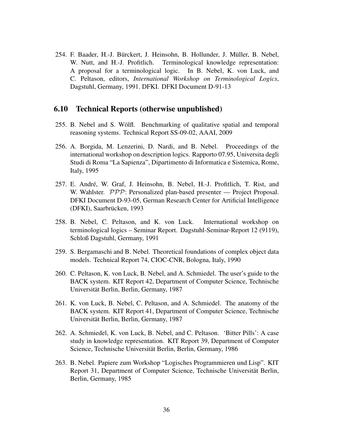254. F. Baader, H.-J. Bürckert, J. Heinsohn, B. Hollunder, J. Müller, B. Nebel, W. Nutt, and H.-J. Profitlich. Terminological knowledge representation: A proposal for a terminological logic. In B. Nebel, K. von Luck, and C. Peltason, editors, *International Workshop on Terminological Logics*, Dagstuhl, Germany, 1991. DFKI. DFKI Document D-91-13

#### 6.10 Technical Reports (otherwise unpublished)

- 255. B. Nebel and S. Wolfl. Benchmarking of qualitative spatial and temporal ¨ reasoning systems. Technical Report SS-09-02, AAAI, 2009
- 256. A. Borgida, M. Lenzerini, D. Nardi, and B. Nebel. Proceedings of the international workshop on description logics. Rapporto 07.95, Universita degli Studi di Roma "La Sapienza", Dipartimento di Informatica e Sistemica, Rome, Italy, 1995
- 257. E. André, W. Graf, J. Heinsohn, B. Nebel, H.-J. Profitlich, T. Rist, and W. Wahlster. PPP: Personalized plan-based presenter — Project Proposal. DFKI Document D-93-05, German Research Center for Artificial Intelligence (DFKI), Saarbrücken, 1993
- 258. B. Nebel, C. Peltason, and K. von Luck. International workshop on terminological logics – Seminar Report. Dagstuhl-Seminar-Report 12 (9119), Schloß Dagstuhl, Germany, 1991
- 259. S. Bergamaschi and B. Nebel. Theoretical foundations of complex object data models. Technical Report 74, CIOC-CNR, Bologna, Italy, 1990
- 260. C. Peltason, K. von Luck, B. Nebel, and A. Schmiedel. The user's guide to the BACK system. KIT Report 42, Department of Computer Science, Technische Universitat Berlin, Berlin, Germany, 1987 ¨
- 261. K. von Luck, B. Nebel, C. Peltason, and A. Schmiedel. The anatomy of the BACK system. KIT Report 41, Department of Computer Science, Technische Universitat Berlin, Berlin, Germany, 1987 ¨
- 262. A. Schmiedel, K. von Luck, B. Nebel, and C. Peltason. 'Bitter Pills': A case study in knowledge representation. KIT Report 39, Department of Computer Science, Technische Universität Berlin, Berlin, Germany, 1986
- 263. B. Nebel. Papiere zum Workshop "Logisches Programmieren und Lisp". KIT Report 31, Department of Computer Science, Technische Universität Berlin, Berlin, Germany, 1985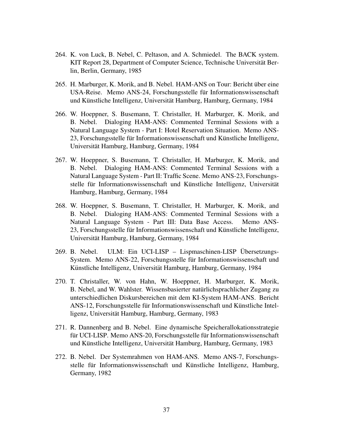- 264. K. von Luck, B. Nebel, C. Peltason, and A. Schmiedel. The BACK system. KIT Report 28, Department of Computer Science, Technische Universität Berlin, Berlin, Germany, 1985
- 265. H. Marburger, K. Morik, and B. Nebel. HAM-ANS on Tour: Bericht uber eine ¨ USA-Reise. Memo ANS-24, Forschungsstelle fur Informationswissenschaft ¨ und Künstliche Intelligenz, Universität Hamburg, Hamburg, Germany, 1984
- 266. W. Hoeppner, S. Busemann, T. Christaller, H. Marburger, K. Morik, and B. Nebel. Dialoging HAM-ANS: Commented Terminal Sessions with a Natural Language System - Part I: Hotel Reservation Situation. Memo ANS-23, Forschungsstelle für Informationswissenschaft und Künstliche Intelligenz, Universitat Hamburg, Hamburg, Germany, 1984 ¨
- 267. W. Hoeppner, S. Busemann, T. Christaller, H. Marburger, K. Morik, and B. Nebel. Dialoging HAM-ANS: Commented Terminal Sessions with a Natural Language System - Part II: Traffic Scene. Memo ANS-23, Forschungsstelle für Informationswissenschaft und Künstliche Intelligenz, Universität Hamburg, Hamburg, Germany, 1984
- 268. W. Hoeppner, S. Busemann, T. Christaller, H. Marburger, K. Morik, and B. Nebel. Dialoging HAM-ANS: Commented Terminal Sessions with a Natural Language System - Part III: Data Base Access. Memo ANS-23, Forschungsstelle für Informationswissenschaft und Künstliche Intelligenz, Universitat Hamburg, Hamburg, Germany, 1984 ¨
- 269. B. Nebel. ULM: Ein UCI-LISP Lispmaschinen-LISP Übersetzungs-System. Memo ANS-22, Forschungsstelle für Informationswissenschaft und Künstliche Intelligenz, Universität Hamburg, Hamburg, Germany, 1984
- 270. T. Christaller, W. von Hahn, W. Hoeppner, H. Marburger, K. Morik, B. Nebel, and W. Wahlster. Wissensbasierter natürlichsprachlicher Zugang zu unterschiedlichen Diskursbereichen mit dem KI-System HAM-ANS. Bericht ANS-12, Forschungsstelle für Informationswissenschaft und Künstliche Intelligenz, Universitat Hamburg, Hamburg, Germany, 1983 ¨
- 271. R. Dannenberg and B. Nebel. Eine dynamische Speicherallokationsstrategie für UCI-LISP. Memo ANS-20, Forschungsstelle für Informationswissenschaft und Künstliche Intelligenz, Universität Hamburg, Hamburg, Germany, 1983
- 272. B. Nebel. Der Systemrahmen von HAM-ANS. Memo ANS-7, Forschungsstelle für Informationswissenschaft und Künstliche Intelligenz, Hamburg, Germany, 1982